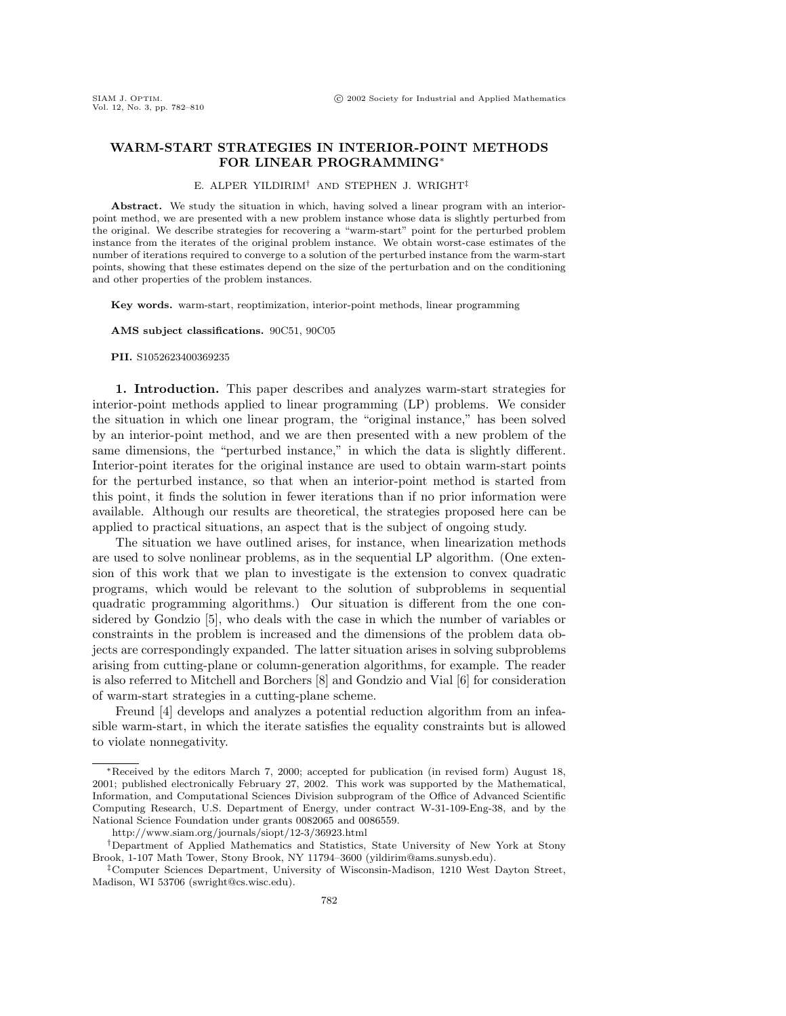# **WARM-START STRATEGIES IN INTERIOR-POINT METHODS FOR LINEAR PROGRAMMING**<sup>∗</sup>

## E. ALPER YILDIRIM† AND STEPHEN J. WRIGHT‡

**Abstract.** We study the situation in which, having solved a linear program with an interiorpoint method, we are presented with a new problem instance whose data is slightly perturbed from the original. We describe strategies for recovering a "warm-start" point for the perturbed problem instance from the iterates of the original problem instance. We obtain worst-case estimates of the number of iterations required to converge to a solution of the perturbed instance from the warm-start points, showing that these estimates depend on the size of the perturbation and on the conditioning and other properties of the problem instances.

**Key words.** warm-start, reoptimization, interior-point methods, linear programming

**AMS subject classifications.** 90C51, 90C05

#### **PII.** S1052623400369235

**1. Introduction.** This paper describes and analyzes warm-start strategies for interior-point methods applied to linear programming (LP) problems. We consider the situation in which one linear program, the "original instance," has been solved by an interior-point method, and we are then presented with a new problem of the same dimensions, the "perturbed instance," in which the data is slightly different. Interior-point iterates for the original instance are used to obtain warm-start points for the perturbed instance, so that when an interior-point method is started from this point, it finds the solution in fewer iterations than if no prior information were available. Although our results are theoretical, the strategies proposed here can be applied to practical situations, an aspect that is the subject of ongoing study.

The situation we have outlined arises, for instance, when linearization methods are used to solve nonlinear problems, as in the sequential LP algorithm. (One extension of this work that we plan to investigate is the extension to convex quadratic programs, which would be relevant to the solution of subproblems in sequential quadratic programming algorithms.) Our situation is different from the one considered by Gondzio [5], who deals with the case in which the number of variables or constraints in the problem is increased and the dimensions of the problem data objects are correspondingly expanded. The latter situation arises in solving subproblems arising from cutting-plane or column-generation algorithms, for example. The reader is also referred to Mitchell and Borchers [8] and Gondzio and Vial [6] for consideration of warm-start strategies in a cutting-plane scheme.

Freund [4] develops and analyzes a potential reduction algorithm from an infeasible warm-start, in which the iterate satisfies the equality constraints but is allowed to violate nonnegativity.

<sup>∗</sup>Received by the editors March 7, 2000; accepted for publication (in revised form) August 18, 2001; published electronically February 27, 2002. This work was supported by the Mathematical, Information, and Computational Sciences Division subprogram of the Office of Advanced Scientific Computing Research, U.S. Department of Energy, under contract W-31-109-Eng-38, and by the National Science Foundation under grants 0082065 and 0086559.

http://www.siam.org/journals/siopt/12-3/36923.html

<sup>†</sup>Department of Applied Mathematics and Statistics, State University of New York at Stony Brook, 1-107 Math Tower, Stony Brook, NY 11794–3600 (yildirim@ams.sunysb.edu).

<sup>‡</sup>Computer Sciences Department, University of Wisconsin-Madison, 1210 West Dayton Street, Madison, WI 53706 (swright@cs.wisc.edu).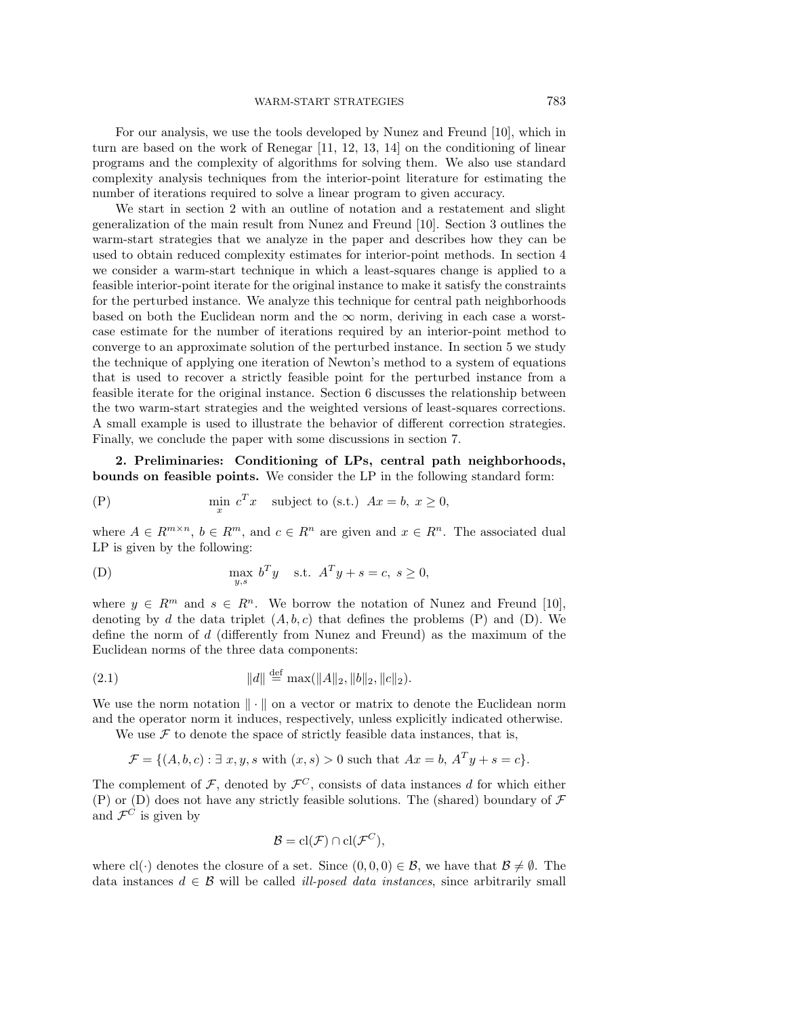For our analysis, we use the tools developed by Nunez and Freund [10], which in turn are based on the work of Renegar [11, 12, 13, 14] on the conditioning of linear programs and the complexity of algorithms for solving them. We also use standard complexity analysis techniques from the interior-point literature for estimating the number of iterations required to solve a linear program to given accuracy.

We start in section 2 with an outline of notation and a restatement and slight generalization of the main result from Nunez and Freund [10]. Section 3 outlines the warm-start strategies that we analyze in the paper and describes how they can be used to obtain reduced complexity estimates for interior-point methods. In section 4 we consider a warm-start technique in which a least-squares change is applied to a feasible interior-point iterate for the original instance to make it satisfy the constraints for the perturbed instance. We analyze this technique for central path neighborhoods based on both the Euclidean norm and the  $\infty$  norm, deriving in each case a worstcase estimate for the number of iterations required by an interior-point method to converge to an approximate solution of the perturbed instance. In section 5 we study the technique of applying one iteration of Newton's method to a system of equations that is used to recover a strictly feasible point for the perturbed instance from a feasible iterate for the original instance. Section 6 discusses the relationship between the two warm-start strategies and the weighted versions of least-squares corrections. A small example is used to illustrate the behavior of different correction strategies. Finally, we conclude the paper with some discussions in section 7.

**2. Preliminaries: Conditioning of LPs, central path neighborhoods, bounds on feasible points.** We consider the LP in the following standard form:

(P) 
$$
\min_{x} c^{T} x \text{ subject to (s.t.) } Ax = b, x \ge 0,
$$

where  $A \in R^{m \times n}$ ,  $b \in R^m$ , and  $c \in R^n$  are given and  $x \in R^n$ . The associated dual LP is given by the following:

(D) 
$$
\max_{y,s} b^T y \quad \text{s.t. } A^T y + s = c, \ s \ge 0,
$$

where  $y \in R^m$  and  $s \in R^n$ . We borrow the notation of Nunez and Freund [10], denoting by d the data triplet  $(A, b, c)$  that defines the problems  $(P)$  and  $(D)$ . We define the norm of d (differently from Nunez and Freund) as the maximum of the Euclidean norms of the three data components:

(2.1) 
$$
||d|| \stackrel{\text{def}}{=} \max(||A||_2, ||b||_2, ||c||_2).
$$

We use the norm notation  $\|\cdot\|$  on a vector or matrix to denote the Euclidean norm and the operator norm it induces, respectively, unless explicitly indicated otherwise.

We use  $\mathcal F$  to denote the space of strictly feasible data instances, that is,

$$
\mathcal{F} = \{ (A, b, c) : \exists x, y, s \text{ with } (x, s) > 0 \text{ such that } Ax = b, A^T y + s = c \}.
$$

The complement of  $\mathcal{F}$ , denoted by  $\mathcal{F}^C$ , consists of data instances d for which either  $(P)$  or  $(D)$  does not have any strictly feasible solutions. The (shared) boundary of  $\mathcal F$ and  $\mathcal{F}^C$  is given by

$$
\mathcal{B} = \mathrm{cl}(\mathcal{F}) \cap \mathrm{cl}(\mathcal{F}^C),
$$

where  $cl(\cdot)$  denotes the closure of a set. Since  $(0,0,0) \in \mathcal{B}$ , we have that  $\mathcal{B} \neq \emptyset$ . The data instances  $d \in \mathcal{B}$  will be called *ill-posed data instances*, since arbitrarily small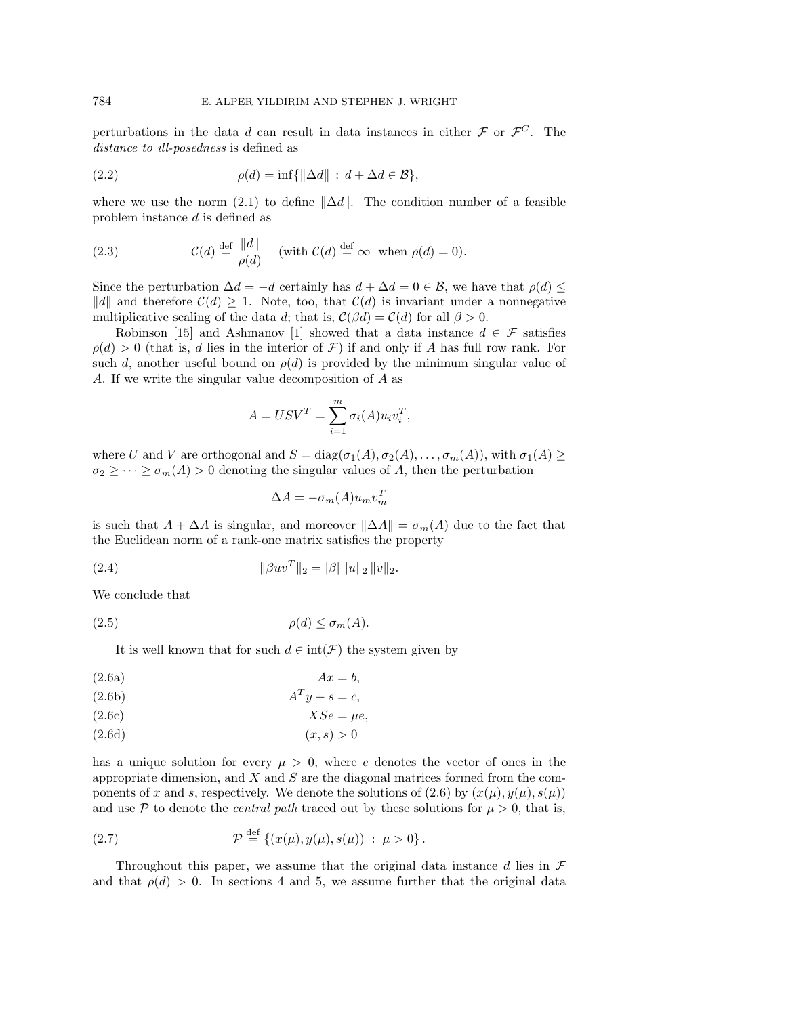perturbations in the data d can result in data instances in either  $\mathcal F$  or  $\mathcal F^C$ . The distance to ill-posedness is defined as

(2.2) 
$$
\rho(d) = \inf \{ \| \Delta d \| : d + \Delta d \in \mathcal{B} \},
$$

where we use the norm (2.1) to define  $\|\Delta d\|$ . The condition number of a feasible problem instance d is defined as

(2.3) 
$$
\mathcal{C}(d) \stackrel{\text{def}}{=} \frac{\|d\|}{\rho(d)} \quad \text{(with } \mathcal{C}(d) \stackrel{\text{def}}{=} \infty \text{ when } \rho(d) = 0\text{)}.
$$

Since the perturbation  $\Delta d = -d$  certainly has  $d + \Delta d = 0 \in \mathcal{B}$ , we have that  $\rho(d) \leq$ ||d|| and therefore  $\mathcal{C}(d) \geq 1$ . Note, too, that  $\mathcal{C}(d)$  is invariant under a nonnegative multiplicative scaling of the data d; that is,  $\mathcal{C}(\beta d) = \mathcal{C}(d)$  for all  $\beta > 0$ .

Robinson [15] and Ashmanov [1] showed that a data instance  $d \in \mathcal{F}$  satisfies  $\rho(d) > 0$  (that is, d lies in the interior of F) if and only if A has full row rank. For such d, another useful bound on  $\rho(d)$  is provided by the minimum singular value of A. If we write the singular value decomposition of A as

$$
A = USV^T = \sum_{i=1}^{m} \sigma_i(A)u_i v_i^T,
$$

where U and V are orthogonal and  $S = diag(\sigma_1(A), \sigma_2(A), \ldots, \sigma_m(A))$ , with  $\sigma_1(A) \geq$  $\sigma_2 \geq \cdots \geq \sigma_m(A) > 0$  denoting the singular values of A, then the perturbation

$$
\Delta A = -\sigma_m(A)u_m v_m^T
$$

is such that  $A + \Delta A$  is singular, and moreover  $\|\Delta A\| = \sigma_m(A)$  due to the fact that the Euclidean norm of a rank-one matrix satisfies the property

(2.4) 
$$
\|\beta u v^T\|_2 = |\beta| \|u\|_2 \|v\|_2.
$$

We conclude that

$$
(2.5) \t\t \rho(d) \le \sigma_m(A).
$$

It is well known that for such  $d \in \text{int}(\mathcal{F})$  the system given by

$$
(2.6a) \t\t Ax = b,
$$

$$
(2.6b) \t\t ATy + s = c,
$$

$$
(2.6c) \t\t XSe = \mu e,
$$

$$
(2.6d)\qquad \qquad (x,s)>0
$$

has a unique solution for every  $\mu > 0$ , where e denotes the vector of ones in the appropriate dimension, and  $X$  and  $S$  are the diagonal matrices formed from the components of x and s, respectively. We denote the solutions of (2.6) by  $(x(\mu), y(\mu), s(\mu))$ and use P to denote the *central path* traced out by these solutions for  $\mu > 0$ , that is,

(2.7) 
$$
\mathcal{P} \stackrel{\text{def}}{=} \{ (x(\mu), y(\mu), s(\mu)) : \mu > 0 \}.
$$

Throughout this paper, we assume that the original data instance d lies in  $\mathcal F$ and that  $\rho(d) > 0$ . In sections 4 and 5, we assume further that the original data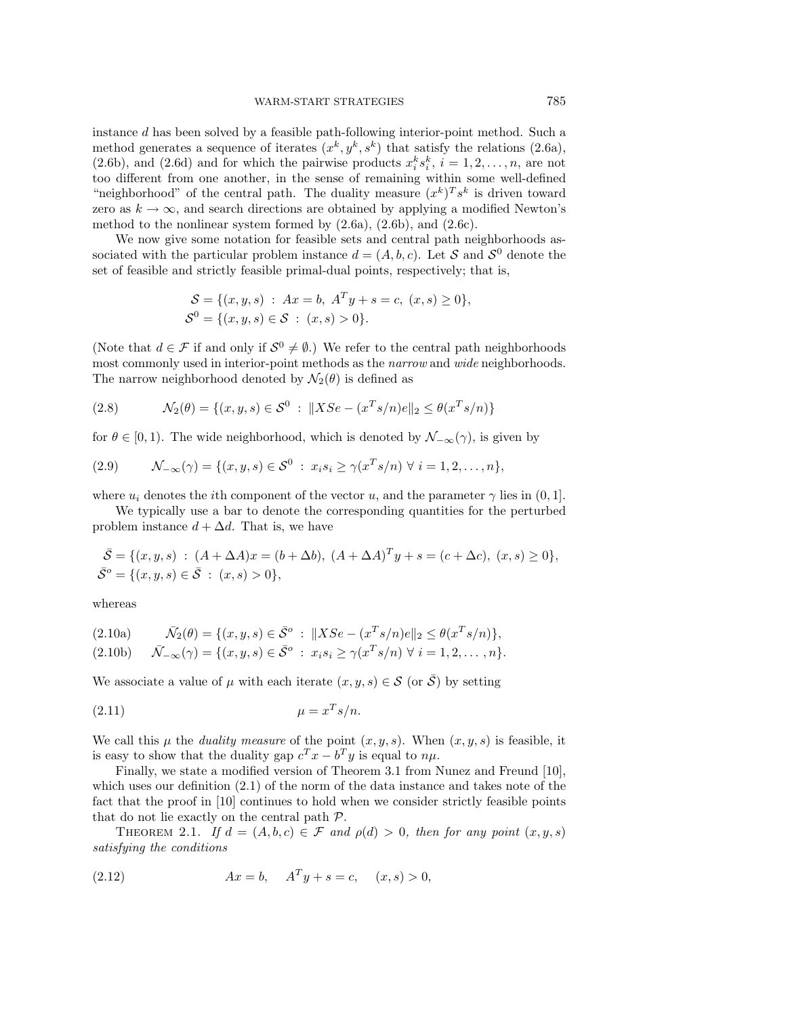instance d has been solved by a feasible path-following interior-point method. Such a method generates a sequence of iterates  $(x^k, y^k, s^k)$  that satisfy the relations (2.6a), (2.6b), and (2.6d) and for which the pairwise products  $x_i^k s_i^k$ ,  $i = 1, 2, ..., n$ , are not too different from one another, in the sense of remaining within some well-defined "neighborhood" of the central path. The duality measure  $(x^k)^T s^k$  is driven toward zero as  $k \to \infty$ , and search directions are obtained by applying a modified Newton's method to the nonlinear system formed by (2.6a), (2.6b), and (2.6c).

We now give some notation for feasible sets and central path neighborhoods associated with the particular problem instance  $d = (A, b, c)$ . Let S and  $S^0$  denote the set of feasible and strictly feasible primal-dual points, respectively; that is,

$$
S = \{(x, y, s) : Ax = b, A^T y + s = c, (x, s) \ge 0\},\
$$
  

$$
S^0 = \{(x, y, s) \in S : (x, s) > 0\}.
$$

(Note that  $d \in \mathcal{F}$  if and only if  $\mathcal{S}^0 \neq \emptyset$ .) We refer to the central path neighborhoods most commonly used in interior-point methods as the *narrow* and *wide* neighborhoods. The narrow neighborhood denoted by  $\mathcal{N}_2(\theta)$  is defined as

(2.8) 
$$
\mathcal{N}_2(\theta) = \{(x, y, s) \in \mathcal{S}^0 : ||XSe - (x^T s/n)e||_2 \leq \theta(x^T s/n)\}
$$

for  $\theta \in [0, 1)$ . The wide neighborhood, which is denoted by  $\mathcal{N}_{-\infty}(\gamma)$ , is given by

(2.9) 
$$
\mathcal{N}_{-\infty}(\gamma) = \{ (x, y, s) \in \mathcal{S}^0 : x_i s_i \geq \gamma (x^T s/n) \ \forall \ i = 1, 2, ..., n \},
$$

where  $u_i$  denotes the *i*th component of the vector u, and the parameter  $\gamma$  lies in (0, 1].

We typically use a bar to denote the corresponding quantities for the perturbed problem instance  $d + \Delta d$ . That is, we have

$$
\bar{\mathcal{S}} = \{ (x, y, s) : (A + \Delta A)x = (b + \Delta b), (A + \Delta A)^T y + s = (c + \Delta c), (x, s) \ge 0 \},
$$
  

$$
\bar{\mathcal{S}}^o = \{ (x, y, s) \in \bar{\mathcal{S}} : (x, s) > 0 \},
$$

whereas

$$
(2.10a) \qquad \bar{\mathcal{N}}_2(\theta) = \{ (x, y, s) \in \bar{\mathcal{S}}^o : ||XSe - (x^T s/n)e||_2 \le \theta(x^T s/n) \},
$$
  

$$
(2.10b) \qquad \bar{\mathcal{N}}_{-\infty}(\gamma) = \{ (x, y, s) \in \bar{\mathcal{S}}^o : x_i s_i \ge \gamma(x^T s/n) \ \forall \ i = 1, 2, ..., n \}.
$$

We associate a value of  $\mu$  with each iterate  $(x, y, s) \in \mathcal{S}$  (or  $\overline{\mathcal{S}}$ ) by setting

$$
\mu = x^T s / n.
$$

We call this  $\mu$  the *duality measure* of the point  $(x, y, s)$ . When  $(x, y, s)$  is feasible, it is easy to show that the duality gap  $c^T x - b^T y$  is equal to  $n\mu$ .

Finally, we state a modified version of Theorem 3.1 from Nunez and Freund [10], which uses our definition (2.1) of the norm of the data instance and takes note of the fact that the proof in [10] continues to hold when we consider strictly feasible points that do not lie exactly on the central path P.

THEOREM 2.1. If  $d = (A, b, c) \in \mathcal{F}$  and  $\rho(d) > 0$ , then for any point  $(x, y, s)$ satisfying the conditions

(2.12) 
$$
Ax = b, \quad A^T y + s = c, \quad (x, s) > 0,
$$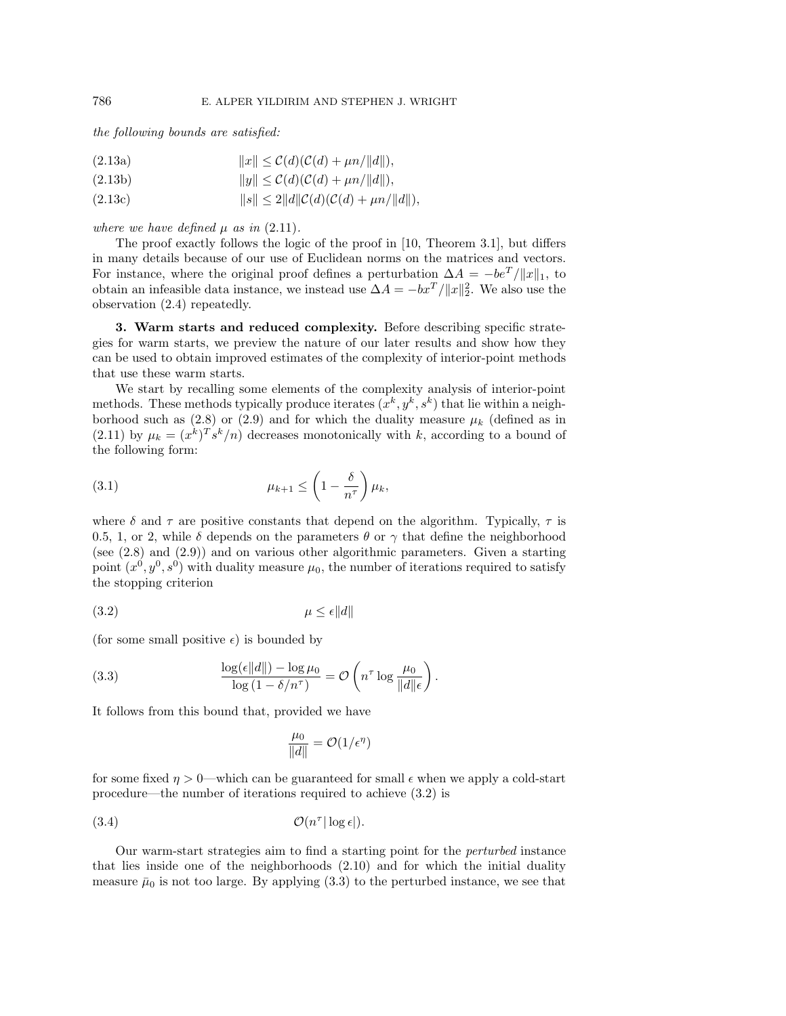the following bounds are satisfied:

$$
(2.13a) \t\t\t ||x|| \leq \mathcal{C}(d)(\mathcal{C}(d) + \mu n/||d||),
$$

$$
(2.13b) \t\t\t ||y|| \leq \mathcal{C}(d)(\mathcal{C}(d) + \mu n/||d||),
$$

(2.13c) 
$$
||s|| \le 2||d||C(d)(C(d) + \mu n/||d||),
$$

where we have defined  $\mu$  as in (2.11).

The proof exactly follows the logic of the proof in [10, Theorem 3.1], but differs in many details because of our use of Euclidean norms on the matrices and vectors. For instance, where the original proof defines a perturbation  $\Delta A = -be^{T}/||x||_1$ , to obtain an infeasible data instance, we instead use  $\Delta A = -bx^T / ||x||_2^2$ . We also use the observation (2.4) repeatedly.

**3. Warm starts and reduced complexity.** Before describing specific strategies for warm starts, we preview the nature of our later results and show how they can be used to obtain improved estimates of the complexity of interior-point methods that use these warm starts.

We start by recalling some elements of the complexity analysis of interior-point methods. These methods typically produce iterates  $(x^k, y^k, s^k)$  that lie within a neighborhood such as (2.8) or (2.9) and for which the duality measure  $\mu_k$  (defined as in (2.11) by  $\mu_k = (x^k)^T s^k/n$  decreases monotonically with k, according to a bound of the following form:

$$
\mu_{k+1} \leq \left(1 - \frac{\delta}{n^{\tau}}\right)\mu_k,
$$

where  $\delta$  and  $\tau$  are positive constants that depend on the algorithm. Typically,  $\tau$  is 0.5, 1, or 2, while  $\delta$  depends on the parameters  $\theta$  or  $\gamma$  that define the neighborhood (see (2.8) and (2.9)) and on various other algorithmic parameters. Given a starting point  $(x^0, y^0, s^0)$  with duality measure  $\mu_0$ , the number of iterations required to satisfy the stopping criterion

$$
\mu \le \epsilon \|d\|
$$

(for some small positive  $\epsilon$ ) is bounded by

(3.3) 
$$
\frac{\log(\epsilon \|d\|) - \log \mu_0}{\log (1 - \delta/n^{\tau})} = \mathcal{O}\left(n^{\tau} \log \frac{\mu_0}{\|d\|\epsilon}\right).
$$

It follows from this bound that, provided we have

$$
\frac{\mu_0}{\|d\|} = \mathcal{O}(1/\epsilon^{\eta})
$$

for some fixed  $\eta > 0$ —which can be guaranteed for small  $\epsilon$  when we apply a cold-start procedure—the number of iterations required to achieve (3.2) is

O(n<sup>τ</sup> (3.4) | log |).

Our warm-start strategies aim to find a starting point for the perturbed instance that lies inside one of the neighborhoods (2.10) and for which the initial duality measure  $\bar{\mu}_0$  is not too large. By applying (3.3) to the perturbed instance, we see that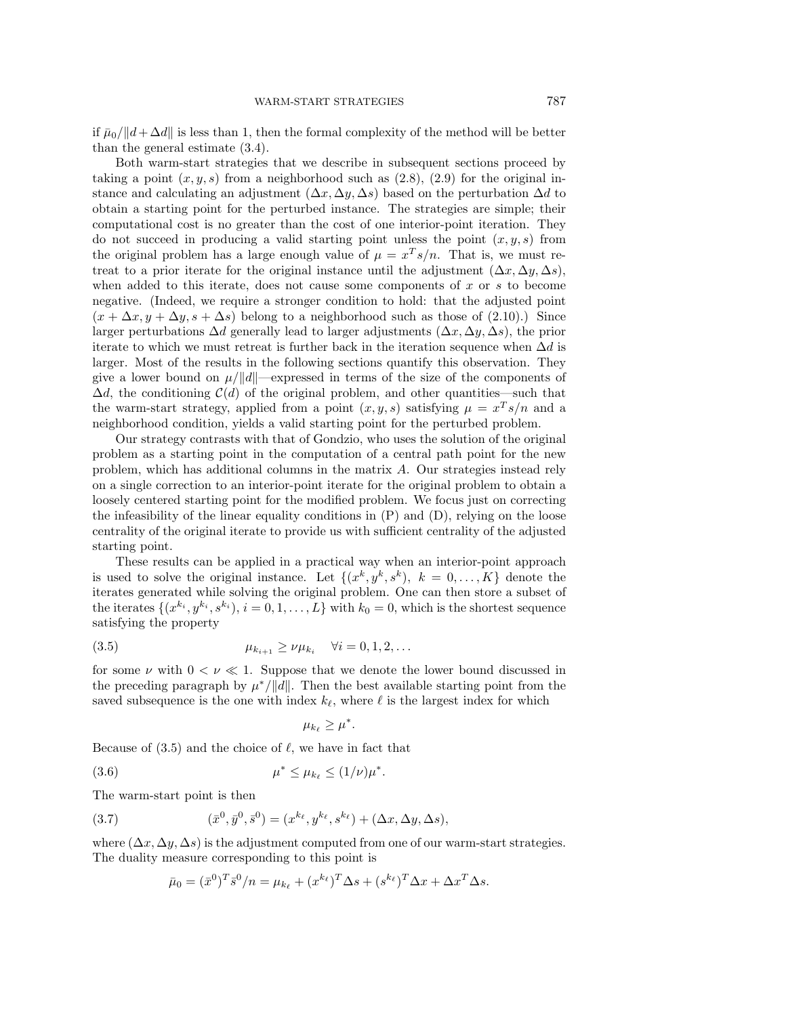if  $\bar{\mu}_0/||d+\Delta d||$  is less than 1, then the formal complexity of the method will be better than the general estimate (3.4).

Both warm-start strategies that we describe in subsequent sections proceed by taking a point  $(x, y, s)$  from a neighborhood such as  $(2.8)$ ,  $(2.9)$  for the original instance and calculating an adjustment  $(\Delta x, \Delta y, \Delta s)$  based on the perturbation  $\Delta d$  to obtain a starting point for the perturbed instance. The strategies are simple; their computational cost is no greater than the cost of one interior-point iteration. They do not succeed in producing a valid starting point unless the point  $(x, y, s)$  from the original problem has a large enough value of  $\mu = x^T s/n$ . That is, we must retreat to a prior iterate for the original instance until the adjustment  $(\Delta x, \Delta y, \Delta s)$ , when added to this iterate, does not cause some components of  $x$  or  $s$  to become negative. (Indeed, we require a stronger condition to hold: that the adjusted point  $(x + \Delta x, y + \Delta y, s + \Delta s)$  belong to a neighborhood such as those of (2.10).) Since larger perturbations  $\Delta d$  generally lead to larger adjustments  $(\Delta x, \Delta y, \Delta s)$ , the prior iterate to which we must retreat is further back in the iteration sequence when  $\Delta d$  is larger. Most of the results in the following sections quantify this observation. They give a lower bound on  $\mu/||d||$ —expressed in terms of the size of the components of  $\Delta d$ , the conditioning  $\mathcal{C}(d)$  of the original problem, and other quantities—such that the warm-start strategy, applied from a point  $(x, y, s)$  satisfying  $\mu = x^T s/n$  and a neighborhood condition, yields a valid starting point for the perturbed problem.

Our strategy contrasts with that of Gondzio, who uses the solution of the original problem as a starting point in the computation of a central path point for the new problem, which has additional columns in the matrix A. Our strategies instead rely on a single correction to an interior-point iterate for the original problem to obtain a loosely centered starting point for the modified problem. We focus just on correcting the infeasibility of the linear equality conditions in (P) and (D), relying on the loose centrality of the original iterate to provide us with sufficient centrality of the adjusted starting point.

These results can be applied in a practical way when an interior-point approach is used to solve the original instance. Let  $\{(x^k, y^k, s^k), k = 0, \ldots, K\}$  denote the iterates generated while solving the original problem. One can then store a subset of the iterates  $\{(x^{k_i}, y^{k_i}, s^{k_i}), i = 0, 1, \ldots, L\}$  with  $k_0 = 0$ , which is the shortest sequence satisfying the property

(3.5) 
$$
\mu_{k_{i+1}} \geq \nu \mu_{k_i} \quad \forall i = 0, 1, 2, ...
$$

for some  $\nu$  with  $0 < \nu \ll 1$ . Suppose that we denote the lower bound discussed in the preceding paragraph by  $\mu^*/\|d\|$ . Then the best available starting point from the saved subsequence is the one with index  $k_{\ell}$ , where  $\ell$  is the largest index for which

$$
\mu_{k_{\ell}} \geq \mu^*.
$$

Because of  $(3.5)$  and the choice of  $\ell$ , we have in fact that

(3.6) 
$$
\mu^* \le \mu_{k_\ell} \le (1/\nu)\mu^*.
$$

The warm-start point is then

(3.7) 
$$
(\bar{x}^0, \bar{y}^0, \bar{s}^0) = (x^{k_\ell}, y^{k_\ell}, s^{k_\ell}) + (\Delta x, \Delta y, \Delta s),
$$

where  $(\Delta x, \Delta y, \Delta s)$  is the adjustment computed from one of our warm-start strategies. The duality measure corresponding to this point is

$$
\bar{\mu}_0 = (\bar{x}^0)^T \bar{s}^0 / n = \mu_{k_\ell} + (x^{k_\ell})^T \Delta s + (s^{k_\ell})^T \Delta x + \Delta x^T \Delta s.
$$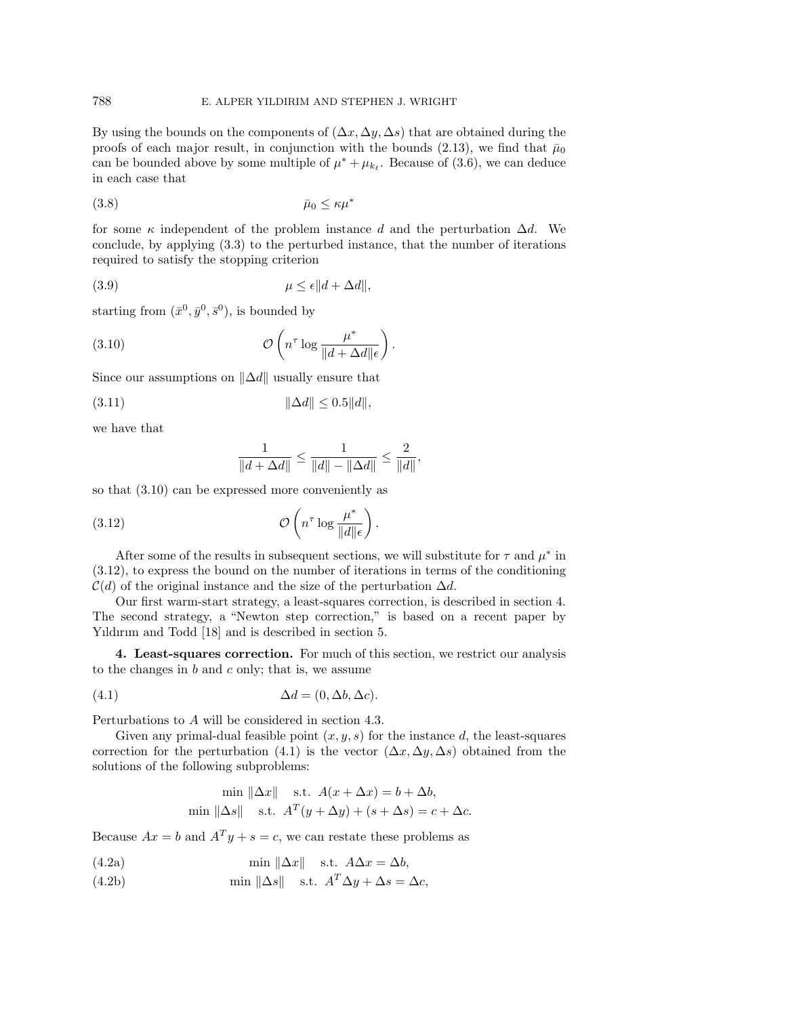By using the bounds on the components of  $(\Delta x, \Delta y, \Delta s)$  that are obtained during the proofs of each major result, in conjunction with the bounds (2.13), we find that  $\bar{\mu}_0$ can be bounded above by some multiple of  $\mu^* + \mu_{k_\ell}$ . Because of (3.6), we can deduce in each case that

$$
(3.8) \t\t \bar{\mu}_0 \leq \kappa \mu^*
$$

for some  $\kappa$  independent of the problem instance d and the perturbation  $\Delta d$ . We conclude, by applying (3.3) to the perturbed instance, that the number of iterations required to satisfy the stopping criterion

$$
\mu \le \epsilon \|d + \Delta d\|,
$$

starting from  $(\bar{x}^0, \bar{y}^0, \bar{s}^0)$ , is bounded by

(3.10) 
$$
\mathcal{O}\left(n^{\tau} \log \frac{\mu^*}{\|d + \Delta d\|\epsilon}\right).
$$

Since our assumptions on  $\|\Delta d\|$  usually ensure that

(3.11) ∆d ≤ 0.5d,

we have that

$$
\frac{1}{\|d+\Delta d\|} \leq \frac{1}{\|d\|-\|\Delta d\|} \leq \frac{2}{\|d\|},
$$

so that (3.10) can be expressed more conveniently as

(3.12) 
$$
\mathcal{O}\left(n^{\tau}\log\frac{\mu^*}{\|d\|\epsilon}\right).
$$

After some of the results in subsequent sections, we will substitute for  $\tau$  and  $\mu^*$  in (3.12), to express the bound on the number of iterations in terms of the conditioning  $\mathcal{C}(d)$  of the original instance and the size of the perturbation  $\Delta d$ .

Our first warm-start strategy, a least-squares correction, is described in section 4. The second strategy, a "Newton step correction,"is based on a recent paper by Yıldırım and Todd [18] and is described in section 5.

**4. Least-squares correction.** For much of this section, we restrict our analysis to the changes in  $b$  and  $c$  only; that is, we assume

(4.1) 
$$
\Delta d = (0, \Delta b, \Delta c).
$$

Perturbations to A will be considered in section 4.3.

Given any primal-dual feasible point  $(x, y, s)$  for the instance d, the least-squares correction for the perturbation (4.1) is the vector  $(\Delta x, \Delta y, \Delta s)$  obtained from the solutions of the following subproblems:

$$
\min \|\Delta x\| \quad \text{s.t.} \quad A(x + \Delta x) = b + \Delta b,
$$
  

$$
\min \|\Delta s\| \quad \text{s.t.} \quad A^T(y + \Delta y) + (s + \Delta s) = c + \Delta c.
$$

Because  $Ax = b$  and  $A<sup>T</sup>y + s = c$ , we can restate these problems as

(4.2a) 
$$
\min \| \Delta x \| \quad \text{s.t. } A\Delta x = \Delta b,
$$

(4.2b)  $\text{min } ||\Delta s|| \quad \text{s.t. } A^T \Delta y + \Delta s = \Delta c,$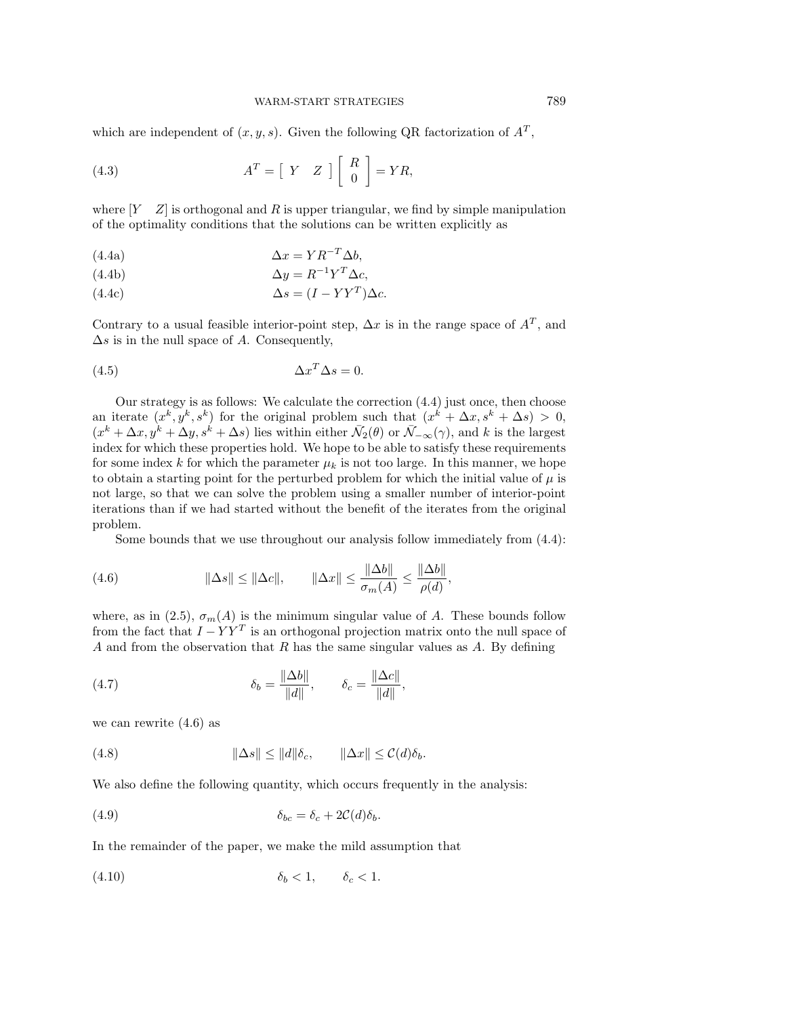#### WARM-START STRATEGIES 789

which are independent of  $(x, y, s)$ . Given the following QR factorization of  $A<sup>T</sup>$ ,

(4.3) 
$$
A^T = \begin{bmatrix} Y & Z \end{bmatrix} \begin{bmatrix} R \\ 0 \end{bmatrix} = YR,
$$

where  $[Y \quad Z]$  is orthogonal and R is upper triangular, we find by simple manipulation of the optimality conditions that the solutions can be written explicitly as

(4.4a) 
$$
\Delta x = Y R^{-T} \Delta b,
$$

(4.4b) 
$$
\Delta y = R^{-1} Y^T \Delta c,
$$

(4.4c) 
$$
\Delta s = (I - YY^T)\Delta c.
$$

Contrary to a usual feasible interior-point step,  $\Delta x$  is in the range space of  $A<sup>T</sup>$ , and  $\Delta s$  is in the null space of A. Consequently,

$$
\Delta x^T \Delta s = 0.
$$

Our strategy is as follows: We calculate the correction (4.4) just once, then choose an iterate  $(x^k, y^k, s^k)$  for the original problem such that  $(x^k + \Delta x, s^k + \Delta s) > 0$ ,  $(x^{k} + \Delta x, y^{k} + \Delta y, s^{k} + \Delta s)$  lies within either  $\bar{\mathcal{N}}_2(\theta)$  or  $\bar{\mathcal{N}}_{-\infty}(\gamma)$ , and k is the largest index for which these properties hold. We hope to be able to satisfy these requirements for some index k for which the parameter  $\mu_k$  is not too large. In this manner, we hope to obtain a starting point for the perturbed problem for which the initial value of  $\mu$  is not large, so that we can solve the problem using a smaller number of interior-point iterations than if we had started without the benefit of the iterates from the original problem.

Some bounds that we use throughout our analysis follow immediately from (4.4):

(4.6) 
$$
\|\Delta s\| \le \|\Delta c\|, \qquad \|\Delta x\| \le \frac{\|\Delta b\|}{\sigma_m(A)} \le \frac{\|\Delta b\|}{\rho(d)},
$$

where, as in (2.5),  $\sigma_m(A)$  is the minimum singular value of A. These bounds follow from the fact that  $I - YY^T$  is an orthogonal projection matrix onto the null space of A and from the observation that R has the same singular values as A. By defining

(4.7) 
$$
\delta_b = \frac{\|\Delta b\|}{\|d\|}, \qquad \delta_c = \frac{\|\Delta c\|}{\|d\|},
$$

we can rewrite (4.6) as

(4.8) 
$$
\|\Delta s\| \le \|d\|\delta_c, \qquad \|\Delta x\| \le C(d)\delta_b.
$$

We also define the following quantity, which occurs frequently in the analysis:

(4.9) 
$$
\delta_{bc} = \delta_c + 2C(d)\delta_b.
$$

In the remainder of the paper, we make the mild assumption that

$$
(4.10) \t\t\t \delta_b < 1, \t\t \delta_c < 1.
$$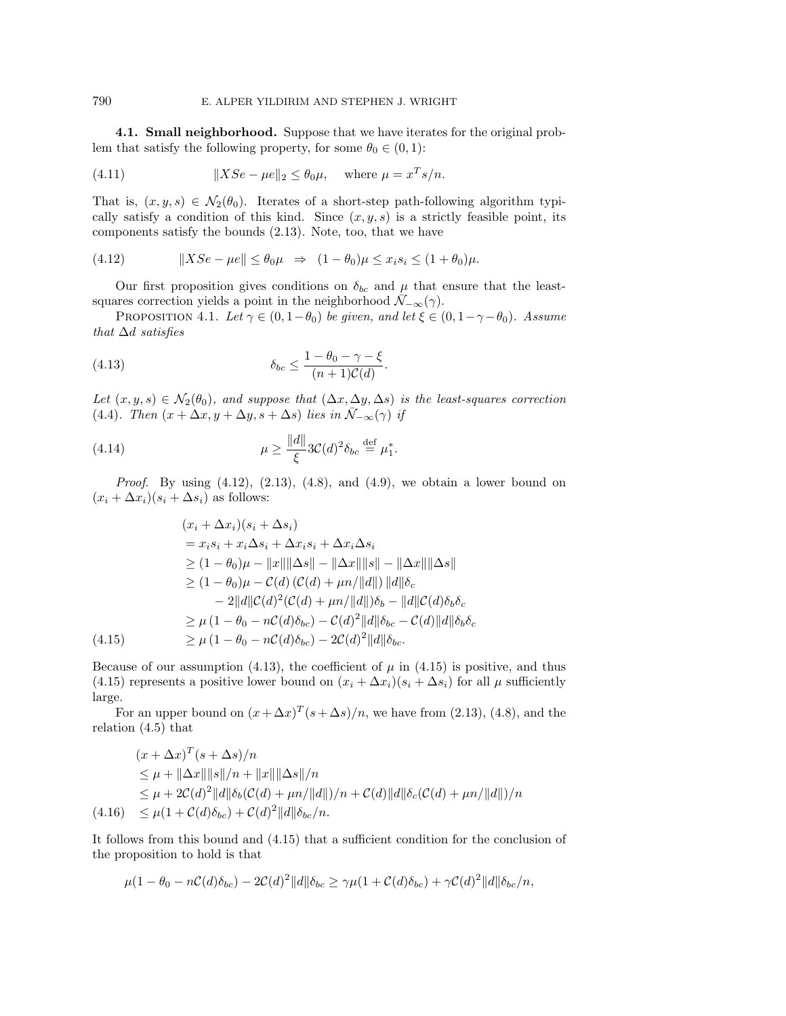**4.1. Small neighborhood.** Suppose that we have iterates for the original problem that satisfy the following property, for some  $\theta_0 \in (0, 1)$ :

(4.11) 
$$
||XSe - \mu e||_2 \le \theta_0 \mu, \text{ where } \mu = x^T s/n.
$$

That is,  $(x, y, s) \in \mathcal{N}_2(\theta_0)$ . Iterates of a short-step path-following algorithm typically satisfy a condition of this kind. Since  $(x, y, s)$  is a strictly feasible point, its components satisfy the bounds (2.13). Note, too, that we have

(4.12) 
$$
||XSe - \mu e|| \leq \theta_0 \mu \Rightarrow (1 - \theta_0)\mu \leq x_i s_i \leq (1 + \theta_0)\mu.
$$

Our first proposition gives conditions on  $\delta_{bc}$  and  $\mu$  that ensure that the leastsquares correction yields a point in the neighborhood  $\mathcal{N}_{-\infty}(\gamma)$ .

PROPOSITION 4.1. Let  $\gamma \in (0, 1-\theta_0)$  be given, and let  $\xi \in (0, 1-\gamma-\theta_0)$ . Assume that  $\Delta d$  satisfies

(4.13) 
$$
\delta_{bc} \leq \frac{1 - \theta_0 - \gamma - \xi}{(n+1)\mathcal{C}(d)}.
$$

Let  $(x, y, s) \in \mathcal{N}_2(\theta_0)$ , and suppose that  $(\Delta x, \Delta y, \Delta s)$  is the least-squares correction (4.4). Then  $(x + \Delta x, y + \Delta y, s + \Delta s)$  lies in  $\overline{\mathcal{N}}_{-\infty}(\gamma)$  if

(4.14) 
$$
\mu \ge \frac{\|d\|}{\xi} 3\mathcal{C}(d)^2 \delta_{bc} \stackrel{\text{def}}{=} \mu_1^*.
$$

*Proof.* By using  $(4.12)$ ,  $(2.13)$ ,  $(4.8)$ , and  $(4.9)$ , we obtain a lower bound on  $(x_i + \Delta x_i)(s_i + \Delta s_i)$  as follows:

$$
(x_i + \Delta x_i)(s_i + \Delta s_i)
$$
  
\n
$$
= x_i s_i + x_i \Delta s_i + \Delta x_i s_i + \Delta x_i \Delta s_i
$$
  
\n
$$
\geq (1 - \theta_0)\mu - ||x|| ||\Delta s|| - ||\Delta x|| ||s|| - ||\Delta x|| ||\Delta s||
$$
  
\n
$$
\geq (1 - \theta_0)\mu - C(d) (C(d) + \mu n/||d||) ||d|| \delta_c
$$
  
\n
$$
- 2||d||C(d)^2 (C(d) + \mu n/||d||) \delta_b - ||d||C(d) \delta_b \delta_c
$$
  
\n
$$
\geq \mu (1 - \theta_0 - nC(d) \delta_{bc}) - C(d)^2 ||d|| \delta_{bc} - C(d) ||d|| \delta_b \delta_c
$$
  
\n(4.15)  
\n
$$
\geq \mu (1 - \theta_0 - nC(d) \delta_{bc}) - 2C(d)^2 ||d|| \delta_{bc}.
$$

Because of our assumption (4.13), the coefficient of  $\mu$  in (4.15) is positive, and thus (4.15) represents a positive lower bound on  $(x_i + \Delta x_i)(s_i + \Delta s_i)$  for all  $\mu$  sufficiently large.

For an upper bound on  $(x + \Delta x)^T (s + \Delta s)/n$ , we have from (2.13), (4.8), and the relation (4.5) that

$$
(x + \Delta x)^T (s + \Delta s) / n
$$
  
\n
$$
\leq \mu + ||\Delta x|| ||s|| / n + ||x|| ||\Delta s|| / n
$$
  
\n
$$
\leq \mu + 2C(d)^2 ||d|| \delta_b(C(d) + \mu n/||d||) / n + C(d) ||d|| \delta_c(C(d) + \mu n/||d||) / n
$$
  
\n(4.16) 
$$
\leq \mu (1 + C(d)\delta_{bc}) + C(d)^2 ||d|| \delta_{bc} / n.
$$

It follows from this bound and (4.15) that a sufficient condition for the conclusion of the proposition to hold is that

$$
\mu(1-\theta_0-n\mathcal{C}(d)\delta_{bc})-2\mathcal{C}(d)^2||d||\delta_{bc}\geq \gamma\mu(1+\mathcal{C}(d)\delta_{bc})+\gamma\mathcal{C}(d)^2||d||\delta_{bc}/n,
$$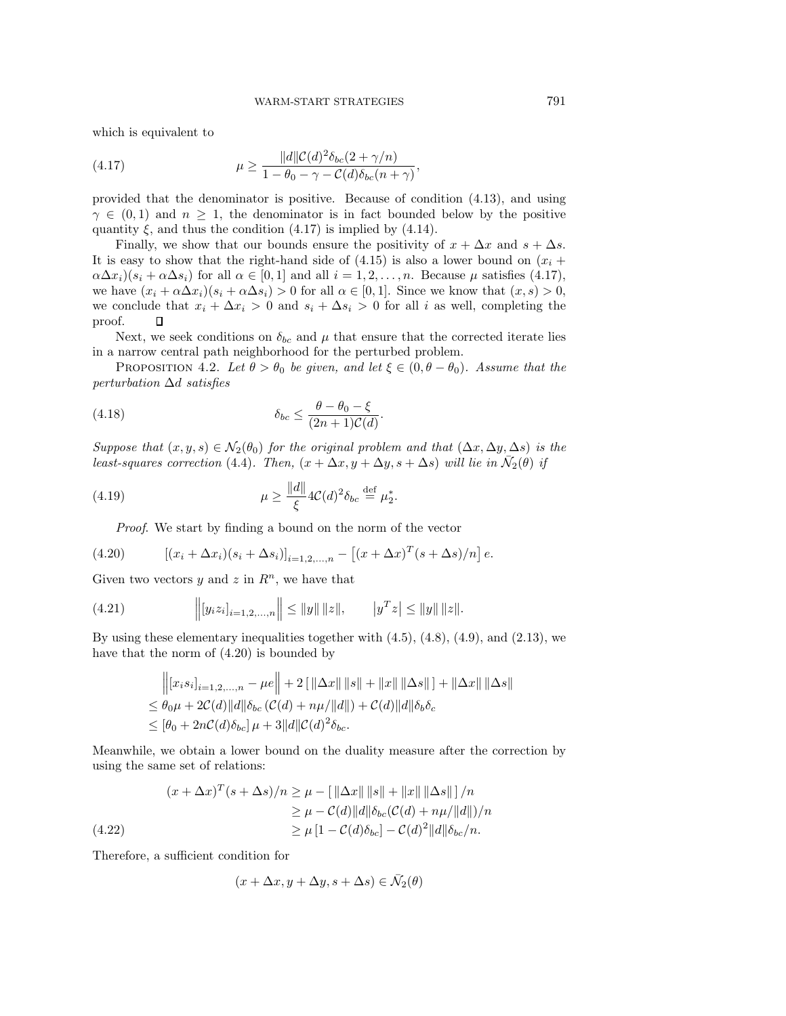which is equivalent to

(4.17) 
$$
\mu \ge \frac{\|d\| \mathcal{C}(d)^2 \delta_{bc}(2+\gamma/n)}{1-\theta_0-\gamma-\mathcal{C}(d)\delta_{bc}(n+\gamma)},
$$

provided that the denominator is positive. Because of condition (4.13), and using  $\gamma \in (0,1)$  and  $n \geq 1$ , the denominator is in fact bounded below by the positive quantity  $\xi$ , and thus the condition (4.17) is implied by (4.14).

Finally, we show that our bounds ensure the positivity of  $x + \Delta x$  and  $s + \Delta s$ . It is easy to show that the right-hand side of  $(4.15)$  is also a lower bound on  $(x_i +$  $\alpha \Delta x_i$ )( $s_i + \alpha \Delta s_i$ ) for all  $\alpha \in [0, 1]$  and all  $i = 1, 2, \ldots, n$ . Because  $\mu$  satisfies (4.17), we have  $(x_i + \alpha \Delta x_i)(s_i + \alpha \Delta s_i) > 0$  for all  $\alpha \in [0, 1]$ . Since we know that  $(x, s) > 0$ , we conclude that  $x_i + \Delta x_i > 0$  and  $s_i + \Delta s_i > 0$  for all i as well, completing the proof. П

Next, we seek conditions on  $\delta_{bc}$  and  $\mu$  that ensure that the corrected iterate lies in a narrow central path neighborhood for the perturbed problem.

PROPOSITION 4.2. Let  $\theta > \theta_0$  be given, and let  $\xi \in (0, \theta - \theta_0)$ . Assume that the perturbation ∆d satisfies

(4.18) 
$$
\delta_{bc} \leq \frac{\theta - \theta_0 - \xi}{(2n+1)\mathcal{C}(d)}.
$$

Suppose that  $(x, y, s) \in \mathcal{N}_2(\theta_0)$  for the original problem and that  $(\Delta x, \Delta y, \Delta s)$  is the least-squares correction (4.4). Then,  $(x + \Delta x, y + \Delta y, s + \Delta s)$  will lie in  $\mathcal{N}_2(\theta)$  if

(4.19) 
$$
\mu \ge \frac{\|d\|}{\xi} 4C(d)^2 \delta_{bc} \stackrel{\text{def}}{=} \mu_2^*.
$$

Proof. We start by finding a bound on the norm of the vector

(4.20) 
$$
[(x_i + \Delta x_i)(s_i + \Delta s_i)]_{i=1,2,...,n} - [(x + \Delta x)^T (s + \Delta s)/n] e.
$$

Given two vectors y and z in  $R<sup>n</sup>$ , we have that

(4.21) 
$$
\left\| [y_i z_i]_{i=1,2,...,n} \right\| \leq \|y\| \|z\|, \qquad |y^T z| \leq \|y\| \|z\|.
$$

By using these elementary inequalities together with  $(4.5)$ ,  $(4.8)$ ,  $(4.9)$ , and  $(2.13)$ , we have that the norm of (4.20) is bounded by

$$
\begin{aligned} &\left\| [x_i s_i]_{i=1,2,...,n} - \mu e \right\| + 2 [\|\Delta x\| \, \|s\| + \|x\| \, \|\Delta s\| ] + \|\Delta x\| \, \|\Delta s\| \\ &\leq \theta_0 \mu + 2\mathcal{C}(d) \|d\| \delta_{bc} \left( \mathcal{C}(d) + n\mu/\|d\| \right) + \mathcal{C}(d) \|d\| \delta_b \delta_c \\ &\leq [\theta_0 + 2n\mathcal{C}(d)\delta_{bc}] \, \mu + 3 \|d\| \mathcal{C}(d)^2 \delta_{bc}. \end{aligned}
$$

Meanwhile, we obtain a lower bound on the duality measure after the correction by using the same set of relations:

$$
(x + \Delta x)^T (s + \Delta s) / n \ge \mu - \left[ \|\Delta x\| \, \|s\| + \|x\| \, \|\Delta s\| \right] / n
$$
  
\n
$$
\ge \mu - C(d) \|d\| \delta_{bc} (\mathcal{C}(d) + n\mu/\|d\|) / n
$$
  
\n
$$
\ge \mu \left[1 - C(d) \delta_{bc}\right] - C(d)^2 \|d\| \delta_{bc}/n.
$$

Therefore, a sufficient condition for

$$
(x + \Delta x, y + \Delta y, s + \Delta s) \in \bar{\mathcal{N}}_2(\theta)
$$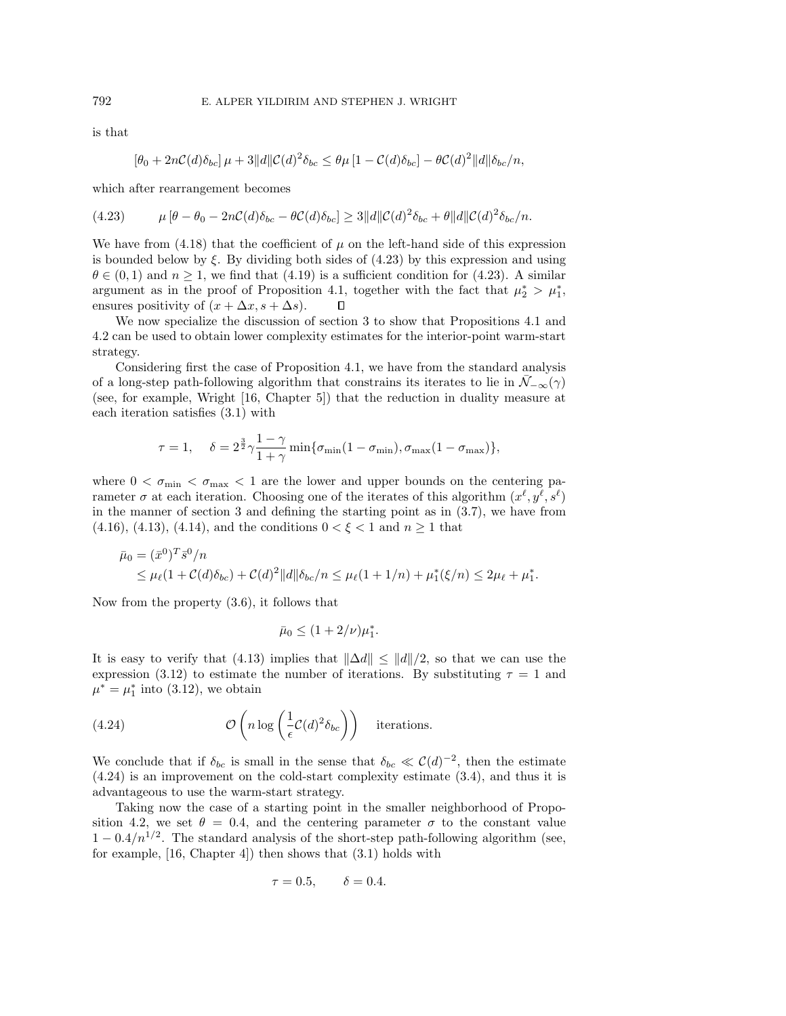is that

$$
[\theta_0 + 2n\mathcal{C}(d)\delta_{bc}] \mu + 3||d||\mathcal{C}(d)^2 \delta_{bc} \leq \theta \mu [1 - \mathcal{C}(d)\delta_{bc}] - \theta \mathcal{C}(d)^2||d||\delta_{bc}/n,
$$

which after rearrangement becomes

$$
(4.23) \qquad \mu \left[\theta - \theta_0 - 2n\mathcal{C}(d)\delta_{bc} - \theta \mathcal{C}(d)\delta_{bc}\right] \geq 3||d||\mathcal{C}(d)^2 \delta_{bc} + \theta ||d||\mathcal{C}(d)^2 \delta_{bc}/n.
$$

We have from  $(4.18)$  that the coefficient of  $\mu$  on the left-hand side of this expression is bounded below by  $\xi$ . By dividing both sides of (4.23) by this expression and using  $\theta \in (0,1)$  and  $n \geq 1$ , we find that  $(4.19)$  is a sufficient condition for  $(4.23)$ . A similar argument as in the proof of Proposition 4.1, together with the fact that  $\mu_2^* > \mu_1^*$ , ensures positivity of  $(x + \Delta x, s + \Delta s)$ . П

We now specialize the discussion of section 3 to show that Propositions 4.1 and 4.2 can be used to obtain lower complexity estimates for the interior-point warm-start strategy.

Considering first the case of Proposition 4.1, we have from the standard analysis of a long-step path-following algorithm that constrains its iterates to lie in  $\mathcal{N}_{-\infty}(\gamma)$ (see, for example, Wright [16, Chapter 5]) that the reduction in duality measure at each iteration satisfies (3.1) with

$$
\tau=1,\quad \delta=2^{\frac{3}{2}}\gamma\frac{1-\gamma}{1+\gamma}\min\{\sigma_{\min}(1-\sigma_{\min}),\sigma_{\max}(1-\sigma_{\max})\},
$$

where  $0 < \sigma_{\min} < \sigma_{\max} < 1$  are the lower and upper bounds on the centering parameter  $\sigma$  at each iteration. Choosing one of the iterates of this algorithm  $(x^{\ell}, y^{\ell}, s^{\ell})$ in the manner of section 3 and defining the starting point as in (3.7), we have from (4.16), (4.13), (4.14), and the conditions  $0 < \xi < 1$  and  $n \ge 1$  that

$$
\bar{\mu}_0 = (\bar{x}^0)^T \bar{s}^0/n
$$
  
\$\leq \mu\_\ell (1 + \mathcal{C}(d)\delta\_{bc}) + \mathcal{C}(d)^2 ||d||\delta\_{bc}/n \leq \mu\_\ell (1 + 1/n) + \mu\_1^\*(\xi/n) \leq 2\mu\_\ell + \mu\_1^\*\$.

Now from the property (3.6), it follows that

$$
\bar{\mu}_0 \le (1 + 2/\nu)\mu_1^*.
$$

It is easy to verify that (4.13) implies that  $\|\Delta d\| \leq \|d\|/2$ , so that we can use the expression (3.12) to estimate the number of iterations. By substituting  $\tau = 1$  and  $\mu^* = \mu_1^*$  into (3.12), we obtain

(4.24) 
$$
\mathcal{O}\left(n \log\left(\frac{1}{\epsilon} \mathcal{C}(d)^2 \delta_{bc}\right)\right) \text{ iterations.}
$$

We conclude that if  $\delta_{bc}$  is small in the sense that  $\delta_{bc} \ll C(d)^{-2}$ , then the estimate (4.24) is an improvement on the cold-start complexity estimate (3.4), and thus it is advantageous to use the warm-start strategy.

Taking now the case of a starting point in the smaller neighborhood of Proposition 4.2, we set  $\theta = 0.4$ , and the centering parameter  $\sigma$  to the constant value  $1 - 0.4/n^{1/2}$ . The standard analysis of the short-step path-following algorithm (see, for example, [16, Chapter 4]) then shows that (3.1) holds with

$$
\tau=0.5, \qquad \delta=0.4.
$$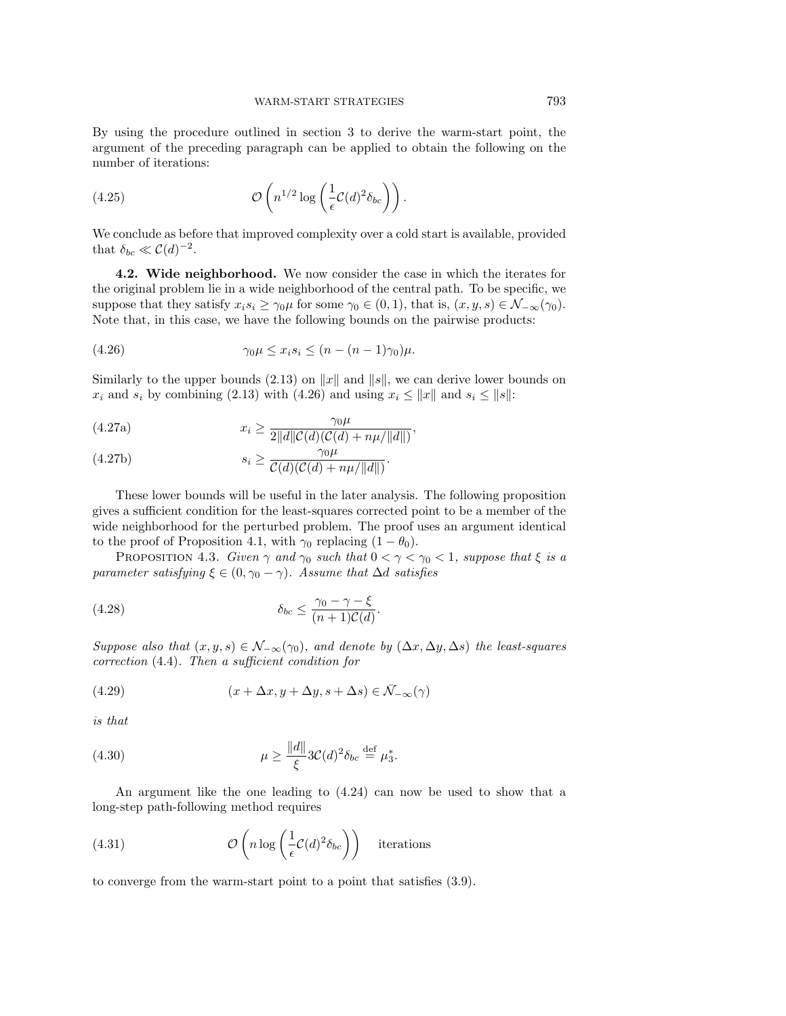By using the procedure outlined in section 3 to derive the warm-start point, the argument of the preceding paragraph can be applied to obtain the following on the number of iterations:

(4.25) 
$$
\mathcal{O}\left(n^{1/2}\log\left(\frac{1}{\epsilon}\mathcal{C}(d)^2\delta_{bc}\right)\right).
$$

We conclude as before that improved complexity over a cold start is available, provided that  $\delta_{bc} \ll C(d)^{-2}$ .

**4.2. Wide neighborhood.** We now consider the case in which the iterates for the original problem lie in a wide neighborhood of the central path. To be specific, we suppose that they satisfy  $x_i s_i \geq \gamma_0 \mu$  for some  $\gamma_0 \in (0,1)$ , that is,  $(x, y, s) \in \mathcal{N}_{-\infty}(\gamma_0)$ . Note that, in this case, we have the following bounds on the pairwise products:

$$
(4.26) \qquad \qquad \gamma_0 \mu \leq x_i s_i \leq (n - (n-1)\gamma_0)\mu.
$$

Similarly to the upper bounds (2.13) on  $||x||$  and  $||s||$ , we can derive lower bounds on  $x_i$  and  $s_i$  by combining (2.13) with (4.26) and using  $x_i \le ||x||$  and  $s_i \le ||s||$ :

(4.27a) 
$$
x_i \ge \frac{\gamma_0 \mu}{2||d||\mathcal{C}(d)(\mathcal{C}(d) + n\mu/||d||)},
$$

(4.27b) 
$$
s_i \geq \frac{\gamma_0 \mu}{\mathcal{C}(d)(\mathcal{C}(d) + n\mu/||d||)}.
$$

These lower bounds will be useful in the later analysis. The following proposition gives a sufficient condition for the least-squares corrected point to be a member of the wide neighborhood for the perturbed problem. The proof uses an argument identical to the proof of Proposition 4.1, with  $\gamma_0$  replacing  $(1 - \theta_0)$ .

PROPOSITION 4.3. Given  $\gamma$  and  $\gamma_0$  such that  $0 < \gamma < \gamma_0 < 1$ , suppose that  $\xi$  is a parameter satisfying  $\xi \in (0, \gamma_0 - \gamma)$ . Assume that ∆d satisfies

(4.28) 
$$
\delta_{bc} \leq \frac{\gamma_0 - \gamma - \xi}{(n+1)\mathcal{C}(d)}.
$$

Suppose also that  $(x, y, s) \in \mathcal{N}_{-\infty}(\gamma_0)$ , and denote by  $(\Delta x, \Delta y, \Delta s)$  the least-squares correction (4.4). Then a sufficient condition for

(4.29) 
$$
(x + \Delta x, y + \Delta y, s + \Delta s) \in \bar{\mathcal{N}}_{-\infty}(\gamma)
$$

is that

(4.30) 
$$
\mu \ge \frac{\|d\|}{\xi} 3\mathcal{C}(d)^2 \delta_{bc} \stackrel{\text{def}}{=} \mu_3^*.
$$

An argument like the one leading to (4.24) can now be used to show that a long-step path-following method requires

(4.31) 
$$
\mathcal{O}\left(n \log\left(\frac{1}{\epsilon} \mathcal{C}(d)^2 \delta_{bc}\right)\right) \text{ iterations}
$$

to converge from the warm-start point to a point that satisfies (3.9).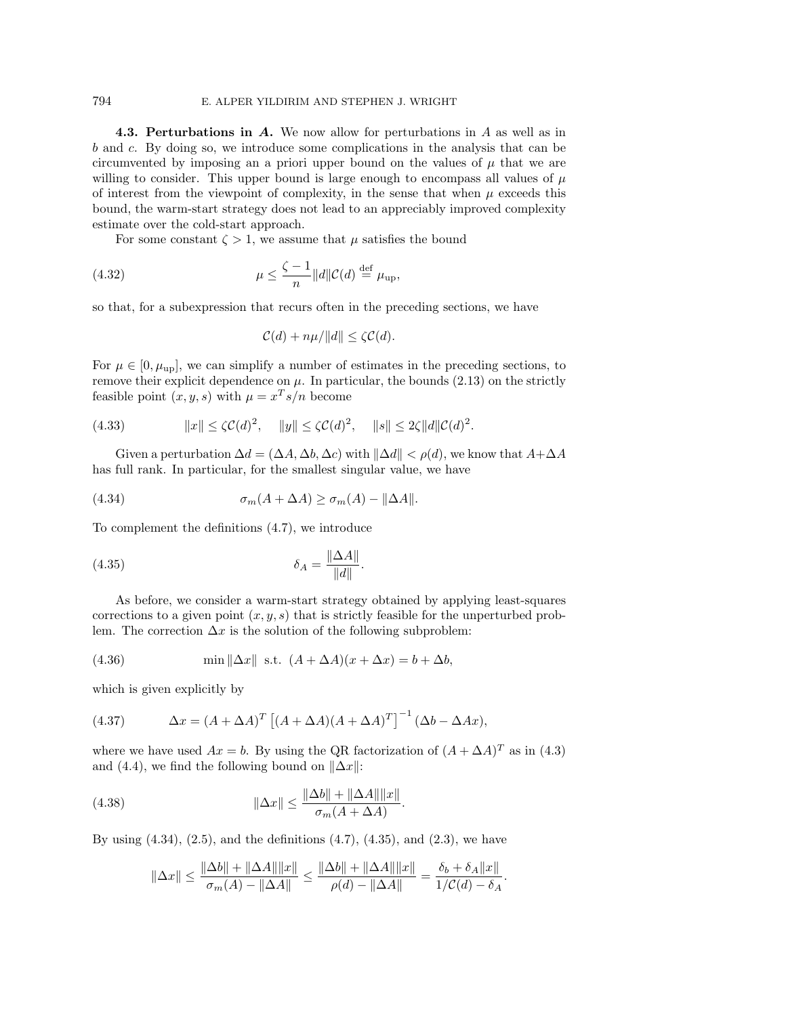## 794 E. ALPER YILDIRIM AND STEPHEN J. WRIGHT

**4.3. Perturbations in** *A***.** We now allow for perturbations in A as well as in b and c. By doing so, we introduce some complications in the analysis that can be circumvented by imposing an a priori upper bound on the values of  $\mu$  that we are willing to consider. This upper bound is large enough to encompass all values of  $\mu$ of interest from the viewpoint of complexity, in the sense that when  $\mu$  exceeds this bound, the warm-start strategy does not lead to an appreciably improved complexity estimate over the cold-start approach.

For some constant  $\zeta > 1$ , we assume that  $\mu$  satisfies the bound

(4.32) 
$$
\mu \leq \frac{\zeta - 1}{n} ||d|| \mathcal{C}(d) \stackrel{\text{def}}{=} \mu_{\text{up}},
$$

so that, for a subexpression that recurs often in the preceding sections, we have

$$
\mathcal{C}(d) + n\mu/\|d\| \le \zeta \mathcal{C}(d).
$$

For  $\mu \in [0, \mu_{\text{up}}]$ , we can simplify a number of estimates in the preceding sections, to remove their explicit dependence on  $\mu$ . In particular, the bounds (2.13) on the strictly feasible point  $(x, y, s)$  with  $\mu = x^T s/n$  become

$$
(4.33) \t\t ||x|| \le \zeta \mathcal{C}(d)^2, \t ||y|| \le \zeta \mathcal{C}(d)^2, \t ||s|| \le 2\zeta ||d||\mathcal{C}(d)^2.
$$

Given a perturbation  $\Delta d = (\Delta A, \Delta b, \Delta c)$  with  $\|\Delta d\| < \rho(d)$ , we know that  $A + \Delta A$ has full rank. In particular, for the smallest singular value, we have

(4.34) 
$$
\sigma_m(A + \Delta A) \ge \sigma_m(A) - ||\Delta A||.
$$

To complement the definitions (4.7), we introduce

$$
\delta_A = \frac{\|\Delta A\|}{\|d\|}.
$$

As before, we consider a warm-start strategy obtained by applying least-squares corrections to a given point  $(x, y, s)$  that is strictly feasible for the unperturbed problem. The correction  $\Delta x$  is the solution of the following subproblem:

(4.36) 
$$
\min \| \Delta x \| \text{ s.t. } (A + \Delta A)(x + \Delta x) = b + \Delta b,
$$

which is given explicitly by

(4.37) 
$$
\Delta x = (A + \Delta A)^T \left[ (A + \Delta A)(A + \Delta A)^T \right]^{-1} (\Delta b - \Delta Ax),
$$

where we have used  $Ax = b$ . By using the QR factorization of  $(A + \Delta A)^T$  as in (4.3) and (4.4), we find the following bound on  $\|\Delta x\|$ :

(4.38) 
$$
\|\Delta x\| \le \frac{\|\Delta b\| + \|\Delta A\| \|x\|}{\sigma_m (A + \Delta A)}.
$$

By using  $(4.34)$ ,  $(2.5)$ , and the definitions  $(4.7)$ ,  $(4.35)$ , and  $(2.3)$ , we have

$$
\|\Delta x\| \le \frac{\|\Delta b\| + \|\Delta A\| \|x\|}{\sigma_m(A) - \|\Delta A\|} \le \frac{\|\Delta b\| + \|\Delta A\| \|x\|}{\rho(d) - \|\Delta A\|} = \frac{\delta_b + \delta_A \|x\|}{1/C(d) - \delta_A}.
$$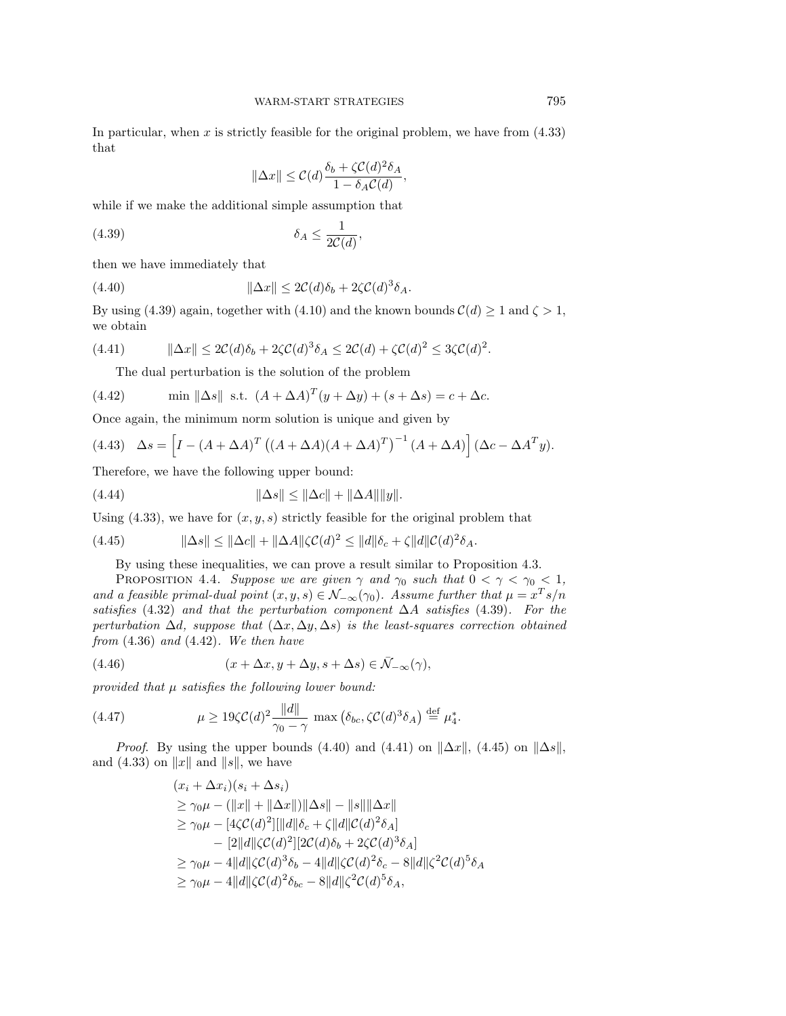In particular, when  $x$  is strictly feasible for the original problem, we have from  $(4.33)$ that

$$
\|\Delta x\| \leq \mathcal{C}(d)\frac{\delta_b + \zeta \mathcal{C}(d)^2 \delta_A}{1 - \delta_A \mathcal{C}(d)},
$$

while if we make the additional simple assumption that

$$
(4.39) \t\t\t \delta_A \le \frac{1}{2\mathcal{C}(d)},
$$

then we have immediately that

(4.40) 
$$
\|\Delta x\| \le 2C(d)\delta_b + 2\zeta C(d)^3 \delta_A.
$$

By using (4.39) again, together with (4.10) and the known bounds  $\mathcal{C}(d) \geq 1$  and  $\zeta > 1$ , we obtain

$$
(4.41) \qquad \|\Delta x\| \le 2C(d)\delta_b + 2\zeta C(d)^3 \delta_A \le 2C(d) + \zeta C(d)^2 \le 3\zeta C(d)^2.
$$

The dual perturbation is the solution of the problem

(4.42) min 
$$
\|\Delta s\|
$$
 s.t.  $(A + \Delta A)^T (y + \Delta y) + (s + \Delta s) = c + \Delta c$ .

Once again, the minimum norm solution is unique and given by

(4.43) 
$$
\Delta s = \left[I - (A + \Delta A)^T ((A + \Delta A)(A + \Delta A)^T)^{-1} (A + \Delta A)\right] (\Delta c - \Delta A^T y).
$$

Therefore, we have the following upper bound:

(4.44) 
$$
\|\Delta s\| \le \|\Delta c\| + \|\Delta A\| \|y\|.
$$

Using (4.33), we have for  $(x, y, s)$  strictly feasible for the original problem that

(4.45) 
$$
\|\Delta s\| \le \|\Delta c\| + \|\Delta A\| \zeta C(d)^2 \le \|d\| \delta_c + \zeta \|d\| C(d)^2 \delta_A.
$$

By using these inequalities, we can prove a result similar to Proposition 4.3.

PROPOSITION 4.4. Suppose we are given  $\gamma$  and  $\gamma_0$  such that  $0 < \gamma < \gamma_0 < 1$ , and a feasible primal-dual point  $(x, y, s) \in \mathcal{N}_{-\infty}(\gamma_0)$ . Assume further that  $\mu = x^T s/n$ satisfies (4.32) and that the perturbation component  $\Delta A$  satisfies (4.39). For the perturbation  $\Delta d$ , suppose that  $(\Delta x, \Delta y, \Delta s)$  is the least-squares correction obtained from  $(4.36)$  and  $(4.42)$ . We then have

(4.46) 
$$
(x + \Delta x, y + \Delta y, s + \Delta s) \in \bar{\mathcal{N}}_{-\infty}(\gamma),
$$

provided that  $\mu$  satisfies the following lower bound:

(4.47) 
$$
\mu \ge 19\zeta \mathcal{C}(d)^2 \frac{\|d\|}{\gamma_0 - \gamma} \max\left(\delta_{bc}, \zeta \mathcal{C}(d)^3 \delta_A\right) \stackrel{\text{def}}{=} \mu_4^*.
$$

*Proof.* By using the upper bounds (4.40) and (4.41) on  $\|\Delta x\|$ , (4.45) on  $\|\Delta s\|$ , and (4.33) on  $||x||$  and  $||s||$ , we have

$$
(x_i + \Delta x_i)(s_i + \Delta s_i)
$$
  
\n
$$
\geq \gamma_0 \mu - (\|x\| + \|\Delta x\|) \|\Delta s\| - \|s\| \|\Delta x\|
$$
  
\n
$$
\geq \gamma_0 \mu - [4\zeta C(d)^2][\|d\|\delta_c + \zeta\|d\|C(d)^2 \delta_A]
$$
  
\n
$$
- [2\|d\|\zeta C(d)^2][2C(d)\delta_b + 2\zeta C(d)^3 \delta_A]
$$
  
\n
$$
\geq \gamma_0 \mu - 4\|d\|\zeta C(d)^3 \delta_b - 4\|d\|\zeta C(d)^2 \delta_c - 8\|d\|\zeta^2 C(d)^5 \delta_A
$$
  
\n
$$
\geq \gamma_0 \mu - 4\|d\|\zeta C(d)^2 \delta_{bc} - 8\|d\|\zeta^2 C(d)^5 \delta_A,
$$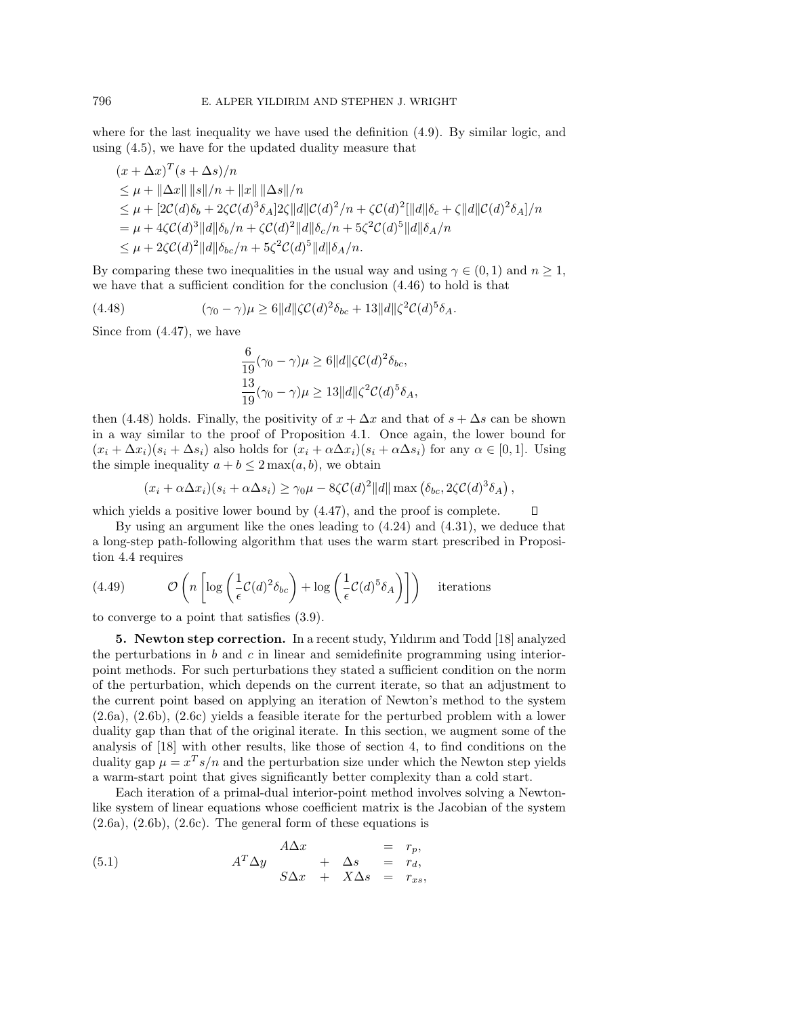where for the last inequality we have used the definition (4.9). By similar logic, and using (4.5), we have for the updated duality measure that

$$
(x + \Delta x)^T (s + \Delta s)/n
$$
  
\n
$$
\leq \mu + ||\Delta x|| ||s||/n + ||x|| ||\Delta s||/n
$$
  
\n
$$
\leq \mu + [2C(d)\delta_b + 2\zeta C(d)^3 \delta_A] 2\zeta ||d||C(d)^2/n + \zeta C(d)^2[||d||\delta_c + \zeta ||d||C(d)^2 \delta_A]/n
$$
  
\n
$$
= \mu + 4\zeta C(d)^3 ||d||\delta_b/n + \zeta C(d)^2 ||d||\delta_c/n + 5\zeta^2 C(d)^5 ||d||\delta_A/n
$$
  
\n
$$
\leq \mu + 2\zeta C(d)^2 ||d||\delta_{bc}/n + 5\zeta^2 C(d)^5 ||d||\delta_A/n.
$$

By comparing these two inequalities in the usual way and using  $\gamma \in (0, 1)$  and  $n \geq 1$ , we have that a sufficient condition for the conclusion (4.46) to hold is that

(4.48) 
$$
(\gamma_0 - \gamma)\mu \ge 6||d||\zeta C(d)^2 \delta_{bc} + 13||d||\zeta^2 C(d)^5 \delta_A.
$$

Since from (4.47), we have

$$
\frac{6}{19}(\gamma_0 - \gamma)\mu \ge 6||d||\zeta C(d)^2 \delta_{bc},
$$
  

$$
\frac{13}{19}(\gamma_0 - \gamma)\mu \ge 13||d||\zeta^2 C(d)^5 \delta_A,
$$

then (4.48) holds. Finally, the positivity of  $x + \Delta x$  and that of  $s + \Delta s$  can be shown in a way similar to the proof of Proposition 4.1. Once again, the lower bound for  $(x_i + \Delta x_i)(s_i + \Delta s_i)$  also holds for  $(x_i + \alpha \Delta x_i)(s_i + \alpha \Delta s_i)$  for any  $\alpha \in [0,1]$ . Using the simple inequality  $a + b \leq 2 \max(a, b)$ , we obtain

$$
(x_i + \alpha \Delta x_i)(s_i + \alpha \Delta s_i) \ge \gamma_0 \mu - 8\zeta C(d)^2 ||d|| \max (\delta_{bc}, 2\zeta C(d)^3 \delta_A),
$$

 $\Box$ 

which yields a positive lower bound by  $(4.47)$ , and the proof is complete.

By using an argument like the ones leading to (4.24) and (4.31), we deduce that a long-step path-following algorithm that uses the warm start prescribed in Proposition 4.4 requires

(4.49) 
$$
\mathcal{O}\left(n\left[\log\left(\frac{1}{\epsilon}\mathcal{C}(d)^2\delta_{bc}\right)+\log\left(\frac{1}{\epsilon}\mathcal{C}(d)^5\delta_A\right)\right]\right) \text{ iterations}
$$

to converge to a point that satisfies (3.9).

**5. Newton step correction.** In a recent study, Yıldırım and Todd [18] analyzed the perturbations in  $b$  and  $c$  in linear and semidefinite programming using interiorpoint methods. For such perturbations they stated a sufficient condition on the norm of the perturbation, which depends on the current iterate, so that an adjustment to the current point based on applying an iteration of Newton's method to the system (2.6a), (2.6b), (2.6c) yields a feasible iterate for the perturbed problem with a lower duality gap than that of the original iterate. In this section, we augment some of the analysis of [18] with other results, like those of section 4, to find conditions on the duality gap  $\mu = x^T s/n$  and the perturbation size under which the Newton step yields a warm-start point that gives significantly better complexity than a cold start.

Each iteration of a primal-dual interior-point method involves solving a Newtonlike system of linear equations whose coefficient matrix is the Jacobian of the system  $(2.6a)$ ,  $(2.6b)$ ,  $(2.6c)$ . The general form of these equations is

(5.1) 
$$
A^T \Delta y = r_p, \nA^T \Delta y + \Delta s = r_d, \nS \Delta x + X \Delta s = r_{xs},
$$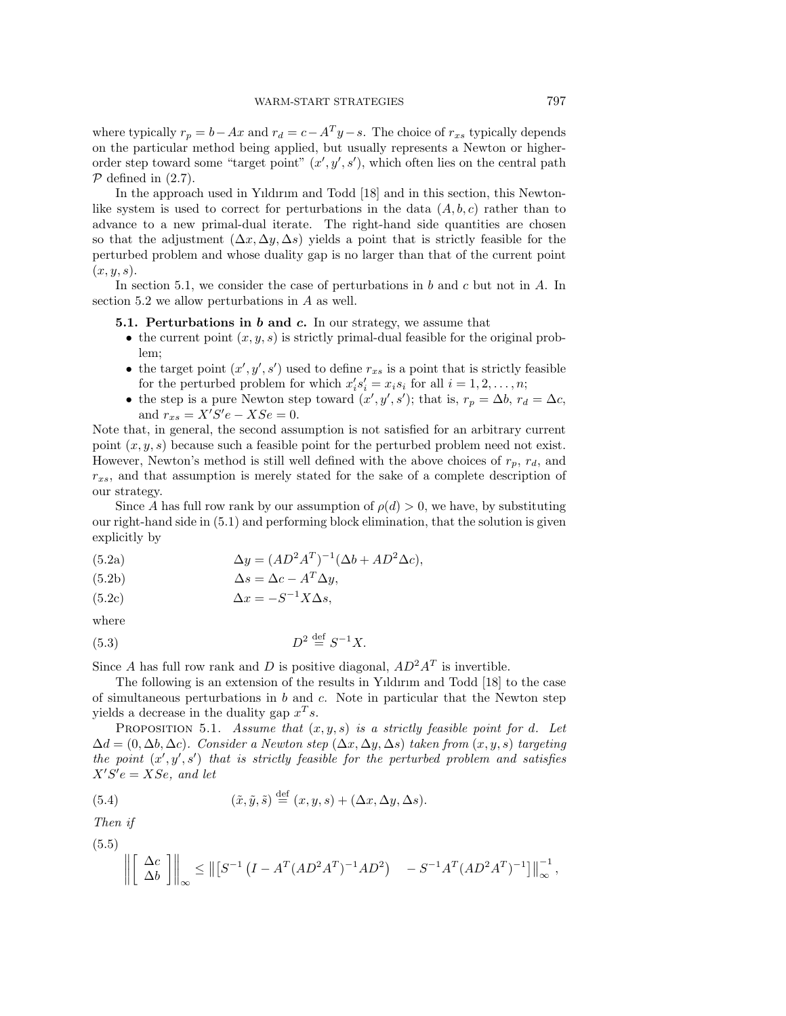where typically  $r_p = b - Ax$  and  $r_d = c - A^T y - s$ . The choice of  $r_{xs}$  typically depends on the particular method being applied, but usually represents a Newton or higherorder step toward some "target point"  $(x', y', s')$ , which often lies on the central path  $P$  defined in  $(2.7)$ .

In the approach used in Yıldırım and Todd [18] and in this section, this Newtonlike system is used to correct for perturbations in the data  $(A, b, c)$  rather than to advance to a new primal-dual iterate. The right-hand side quantities are chosen so that the adjustment  $(\Delta x, \Delta y, \Delta s)$  yields a point that is strictly feasible for the perturbed problem and whose duality gap is no larger than that of the current point  $(x, y, s)$ .

In section 5.1, we consider the case of perturbations in  $b$  and  $c$  but not in  $A$ . In section 5.2 we allow perturbations in A as well.

**5.1. Perturbations in** *b* **and** *c***.** In our strategy, we assume that

- the current point  $(x, y, s)$  is strictly primal-dual feasible for the original problem;
- the target point  $(x', y', s')$  used to define  $r_{xs}$  is a point that is strictly feasible for the perturbed problem for which  $x_i's_i' = x_i s_i$  for all  $i = 1, 2, ..., n$ ;
- the step is a pure Newton step toward  $(x', y', s')$ ; that is,  $r_p = \Delta b$ ,  $r_d = \Delta c$ , and  $r_{xs} = X'S'e - XSe = 0.$

Note that, in general, the second assumption is not satisfied for an arbitrary current point  $(x, y, s)$  because such a feasible point for the perturbed problem need not exist. However, Newton's method is still well defined with the above choices of  $r_p$ ,  $r_d$ , and  $r_{xs}$ , and that assumption is merely stated for the sake of a complete description of our strategy.

Since A has full row rank by our assumption of  $\rho(d) > 0$ , we have, by substituting our right-hand side in (5.1) and performing block elimination, that the solution is given explicitly by

(5.2a) 
$$
\Delta y = (AD^2A^T)^{-1}(\Delta b + AD^2\Delta c),
$$

(5.2b) 
$$
\Delta s = \Delta c - A^T \Delta y,
$$

$$
(5.2c)\qquad \qquad \Delta x = -S^{-1}X\Delta s,
$$

where

$$
(5.3) \t\t D2 \stackrel{\text{def}}{=} S^{-1}X.
$$

Since A has full row rank and D is positive diagonal,  $AD^2A^T$  is invertible.

The following is an extension of the results in Yıldırım and Todd [18] to the case of simultaneous perturbations in  $b$  and  $c$ . Note in particular that the Newton step yields a decrease in the duality gap  $x^T s$ .

PROPOSITION 5.1. Assume that  $(x, y, s)$  is a strictly feasible point for d. Let  $\Delta d = (0, \Delta b, \Delta c)$ . Consider a Newton step  $(\Delta x, \Delta y, \Delta s)$  taken from  $(x, y, s)$  targeting the point  $(x', y', s')$  that is strictly feasible for the perturbed problem and satisfies  $X'S'e = XSe$ , and let

(5.4) 
$$
(\tilde{x}, \tilde{y}, \tilde{s}) \stackrel{\text{def}}{=} (x, y, s) + (\Delta x, \Delta y, \Delta s).
$$

Then if

(5.5)

$$
\left\| \begin{bmatrix} \Delta c \\ \Delta b \end{bmatrix} \right\|_{\infty} \leq \left\| \begin{bmatrix} S^{-1} \left( I - A^{T} (AD^{2} A^{T})^{-1} AD^{2} \right) & -S^{-1} A^{T} (AD^{2} A^{T})^{-1} \end{bmatrix} \right\|_{\infty}^{-1},
$$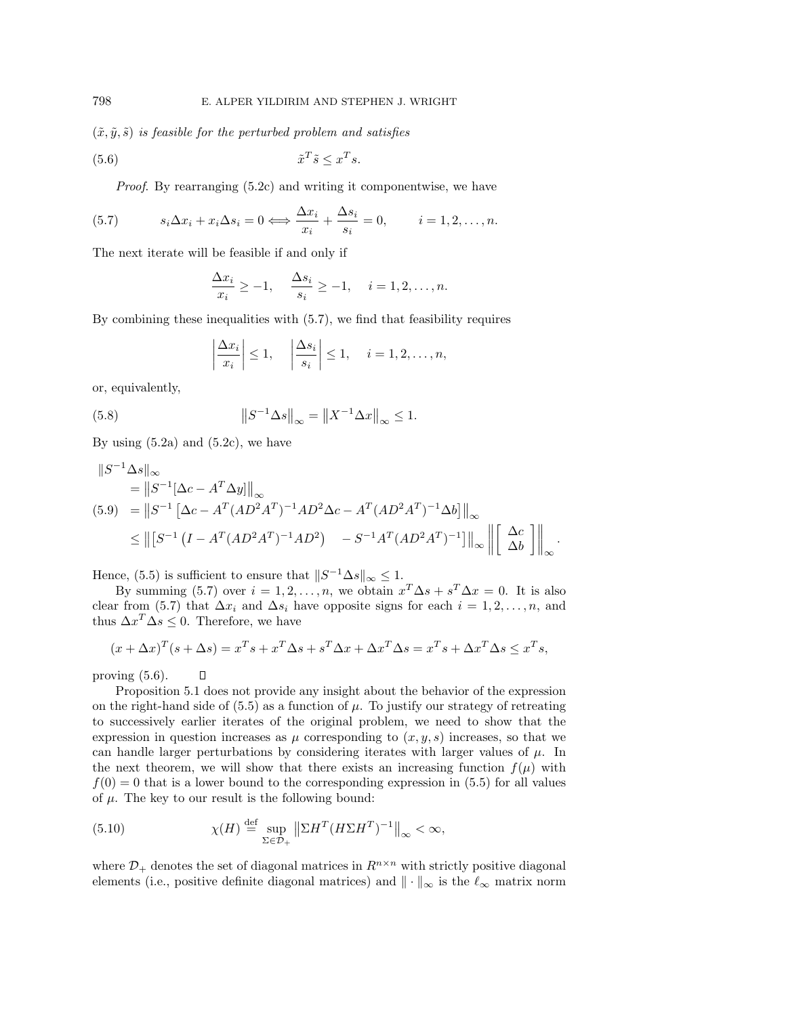$(\tilde{x}, \tilde{y}, \tilde{s})$  is feasible for the perturbed problem and satisfies

$$
(5.6) \t\t \tilde{x}^T \tilde{s} \le x^T s.
$$

Proof. By rearranging (5.2c) and writing it componentwise, we have

(5.7) 
$$
s_i \Delta x_i + x_i \Delta s_i = 0 \Longleftrightarrow \frac{\Delta x_i}{x_i} + \frac{\Delta s_i}{s_i} = 0, \qquad i = 1, 2, \dots, n.
$$

The next iterate will be feasible if and only if

$$
\frac{\Delta x_i}{x_i} \ge -1, \quad \frac{\Delta s_i}{s_i} \ge -1, \quad i = 1, 2, \dots, n.
$$

By combining these inequalities with (5.7), we find that feasibility requires

$$
\left|\frac{\Delta x_i}{x_i}\right| \le 1, \quad \left|\frac{\Delta s_i}{s_i}\right| \le 1, \quad i = 1, 2, \dots, n,
$$

or, equivalently,

(5.8) 
$$
||S^{-1} \Delta s||_{\infty} = ||X^{-1} \Delta x||_{\infty} \le 1.
$$

By using  $(5.2a)$  and  $(5.2c)$ , we have

 $\Box$ 

$$
||S^{-1}\Delta s||_{\infty}
$$
  
=  $||S^{-1}[\Delta c - A^T \Delta y]||_{\infty}$   
(5.9) =  $||S^{-1}[\Delta c - A^T (AD^2 A^T)^{-1} AD^2 \Delta c - A^T (AD^2 A^T)^{-1} \Delta b]||_{\infty}$   
 $\leq ||[S^{-1} (I - A^T (AD^2 A^T)^{-1} AD^2) - S^{-1} A^T (AD^2 A^T)^{-1}]||_{\infty} ||[\Delta c]||_{\infty}.$ 

Hence, (5.5) is sufficient to ensure that  $||S^{-1}\Delta s||_{\infty} \leq 1$ .

By summing (5.7) over  $i = 1, 2, \ldots, n$ , we obtain  $x^T \Delta s + s^T \Delta x = 0$ . It is also clear from (5.7) that  $\Delta x_i$  and  $\Delta s_i$  have opposite signs for each  $i = 1, 2, \ldots, n$ , and thus  $\Delta x^T \Delta s \leq 0$ . Therefore, we have

$$
(x + \Delta x)^T (s + \Delta s) = x^T s + x^T \Delta s + s^T \Delta x + \Delta x^T \Delta s = x^T s + \Delta x^T \Delta s \le x^T s,
$$

proving (5.6).

Proposition 5.1 does not provide any insight about the behavior of the expression on the right-hand side of  $(5.5)$  as a function of  $\mu$ . To justify our strategy of retreating to successively earlier iterates of the original problem, we need to show that the expression in question increases as  $\mu$  corresponding to  $(x, y, s)$  increases, so that we can handle larger perturbations by considering iterates with larger values of  $\mu$ . In the next theorem, we will show that there exists an increasing function  $f(\mu)$  with  $f(0) = 0$  that is a lower bound to the corresponding expression in (5.5) for all values of  $\mu$ . The key to our result is the following bound:

(5.10) 
$$
\chi(H) \stackrel{\text{def}}{=} \sup_{\Sigma \in \mathcal{D}_+} \left\| \Sigma H^T (H \Sigma H^T)^{-1} \right\|_{\infty} < \infty,
$$

where  $\mathcal{D}_+$  denotes the set of diagonal matrices in  $\mathbb{R}^{n \times n}$  with strictly positive diagonal elements (i.e., positive definite diagonal matrices) and  $\|\cdot\|_{\infty}$  is the  $\ell_{\infty}$  matrix norm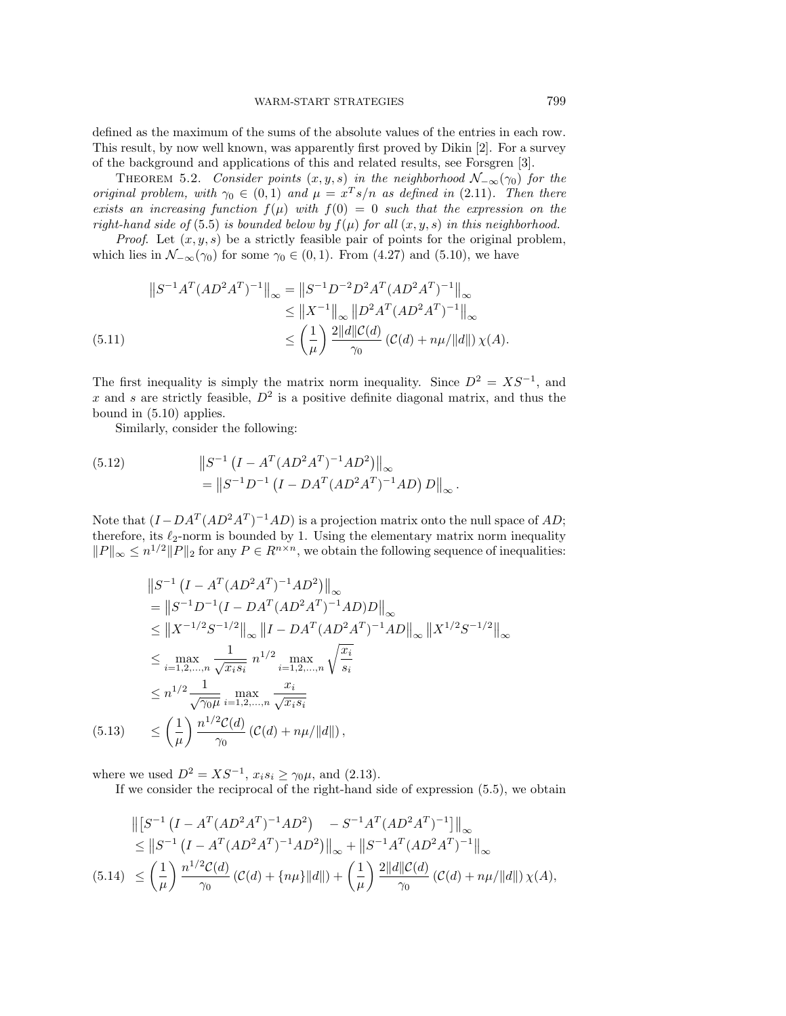defined as the maximum of the sums of the absolute values of the entries in each row. This result, by now well known, was apparently first proved by Dikin [2]. For a survey of the background and applications of this and related results, see Forsgren [3].

THEOREM 5.2. Consider points  $(x, y, s)$  in the neighborhood  $\mathcal{N}_{-\infty}(\gamma_0)$  for the original problem, with  $\gamma_0 \in (0,1)$  and  $\mu = x^T s/n$  as defined in (2.11). Then there exists an increasing function  $f(\mu)$  with  $f(0) = 0$  such that the expression on the right-hand side of (5.5) is bounded below by  $f(\mu)$  for all  $(x, y, s)$  in this neighborhood.

*Proof.* Let  $(x, y, s)$  be a strictly feasible pair of points for the original problem, which lies in  $\mathcal{N}_{-\infty}(\gamma_0)$  for some  $\gamma_0 \in (0,1)$ . From  $(4.27)$  and  $(5.10)$ , we have

$$
||S^{-1}A^{T}(AD^{2}A^{T})^{-1}||_{\infty} = ||S^{-1}D^{-2}D^{2}A^{T}(AD^{2}A^{T})^{-1}||_{\infty}
$$
  
\n
$$
\leq ||X^{-1}||_{\infty} ||D^{2}A^{T}(AD^{2}A^{T})^{-1}||_{\infty}
$$
  
\n(5.11)  
\n
$$
\leq \left(\frac{1}{\mu}\right) \frac{2||d||C(d)}{\gamma_{0}} (C(d) + n\mu/||d||) \chi(A).
$$

The first inequality is simply the matrix norm inequality. Since  $D^2 = XS^{-1}$ , and x and s are strictly feasible,  $D^2$  is a positive definite diagonal matrix, and thus the bound in (5.10) applies.

Similarly, consider the following:

(5.12) 
$$
\|S^{-1} (I - A^T (AD^2 A^T)^{-1} AD^2)\|_{\infty}
$$

$$
= \|S^{-1} D^{-1} (I - DA^T (AD^2 A^T)^{-1} AD) D\|_{\infty}.
$$

Note that  $(I - DA^T (AD^2A^T)^{-1}AD)$  is a projection matrix onto the null space of AD; therefore, its  $\ell_2$ -norm is bounded by 1. Using the elementary matrix norm inequality  $||P||_{\infty} \leq n^{1/2} ||P||_2$  for any  $P \in R^{n \times n}$ , we obtain the following sequence of inequalities:

$$
||S^{-1} (I - A^{T} (AD^{2} A^{T})^{-1} AD^{2})||_{\infty}
$$
  
\n
$$
= ||S^{-1} D^{-1} (I - DA^{T} (AD^{2} A^{T})^{-1} AD)D||_{\infty}
$$
  
\n
$$
\leq ||X^{-1/2} S^{-1/2}||_{\infty} ||I - DA^{T} (AD^{2} A^{T})^{-1} AD||_{\infty} ||X^{1/2} S^{-1/2}||_{\infty}
$$
  
\n
$$
\leq \max_{i=1,2,...,n} \frac{1}{\sqrt{x_{i}s_{i}}} n^{1/2} \max_{i=1,2,...,n} \sqrt{\frac{x_{i}}{s_{i}}}
$$
  
\n
$$
\leq n^{1/2} \frac{1}{\sqrt{\gamma_{0}\mu}} \max_{i=1,2,...,n} \frac{x_{i}}{\sqrt{x_{i}s_{i}}}
$$
  
\n(5.13) 
$$
\leq \left(\frac{1}{\mu}\right) \frac{n^{1/2} C(d)}{\gamma_{0}} (C(d) + n\mu/||d||),
$$

where we used  $D^2 = X S^{-1}$ ,  $x_i s_i \ge \gamma_0 \mu$ , and (2.13).

If we consider the reciprocal of the right-hand side of expression (5.5), we obtain

$$
\begin{split} \left\| \left[ S^{-1} \left( I - A^{T} (A D^{2} A^{T})^{-1} A D^{2} \right) \right] - S^{-1} A^{T} (A D^{2} A^{T})^{-1} \right] \right\|_{\infty} \\ \leq \left\| S^{-1} \left( I - A^{T} (A D^{2} A^{T})^{-1} A D^{2} \right) \right\|_{\infty} + \left\| S^{-1} A^{T} (A D^{2} A^{T})^{-1} \right\|_{\infty} \\ (5.14) \leq & \left( \frac{1}{\mu} \right) \frac{n^{1/2} \mathcal{C}(d)}{\gamma_{0}} \left( \mathcal{C}(d) + \{ n\mu \} \| d \| \right) + \left( \frac{1}{\mu} \right) \frac{2 \| d \| \mathcal{C}(d)}{\gamma_{0}} \left( \mathcal{C}(d) + n\mu / \| d \| \right) \chi(A), \end{split}
$$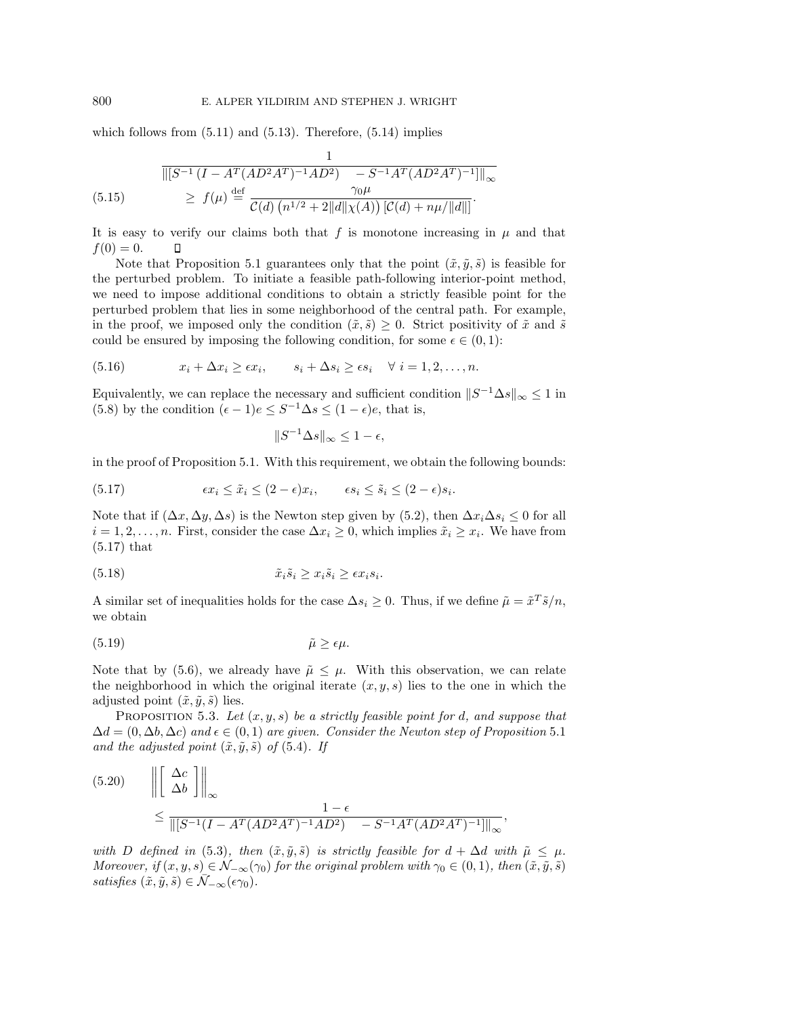which follows from  $(5.11)$  and  $(5.13)$ . Therefore,  $(5.14)$  implies

$$
\frac{1}{\| [S^{-1} (I - A^T (AD^2 A^T)^{-1} AD^2) - S^{-1} A^T (AD^2 A^T)^{-1} ] \|_{\infty}}
$$
\n
$$
\geq f(\mu) \stackrel{\text{def}}{=} \frac{\gamma_0 \mu}{\mathcal{C}(d) (n^{1/2} + 2 \|d\| \chi(A)) [\mathcal{C}(d) + n\mu / \|d\|]}.
$$

It is easy to verify our claims both that f is monotone increasing in  $\mu$  and that  $f(0) = 0.$  $\Box$ 

Note that Proposition 5.1 guarantees only that the point  $(\tilde{x}, \tilde{y}, \tilde{s})$  is feasible for the perturbed problem. To initiate a feasible path-following interior-point method, we need to impose additional conditions to obtain a strictly feasible point for the perturbed problem that lies in some neighborhood of the central path. For example, in the proof, we imposed only the condition  $(\tilde{x}, \tilde{s}) \geq 0$ . Strict positivity of  $\tilde{x}$  and  $\tilde{s}$ could be ensured by imposing the following condition, for some  $\epsilon \in (0,1)$ :

(5.16) 
$$
x_i + \Delta x_i \geq \epsilon x_i, \qquad s_i + \Delta s_i \geq \epsilon s_i \quad \forall \ i = 1, 2, \ldots, n.
$$

Equivalently, we can replace the necessary and sufficient condition  $||S^{-1}\Delta s||_{\infty} \leq 1$  in (5.8) by the condition  $(\epsilon - 1)e \leq S^{-1} \Delta s \leq (1 - \epsilon)e$ , that is,

$$
||S^{-1}\Delta s||_{\infty} \leq 1 - \epsilon,
$$

in the proof of Proposition 5.1. With this requirement, we obtain the following bounds:

(5.17) 
$$
\epsilon x_i \leq \tilde{x}_i \leq (2 - \epsilon)x_i, \qquad \epsilon s_i \leq \tilde{s}_i \leq (2 - \epsilon)s_i.
$$

Note that if  $(\Delta x, \Delta y, \Delta s)$  is the Newton step given by (5.2), then  $\Delta x_i \Delta s_i \leq 0$  for all  $i = 1, 2, \ldots, n$ . First, consider the case  $\Delta x_i \geq 0$ , which implies  $\tilde{x}_i \geq x_i$ . We have from (5.17) that

(5.18) 
$$
\tilde{x}_i \tilde{s}_i \geq x_i \tilde{s}_i \geq \epsilon x_i s_i.
$$

A similar set of inequalities holds for the case  $\Delta s_i \geq 0$ . Thus, if we define  $\tilde{\mu} = \tilde{x}^T \tilde{s}/n$ , we obtain

$$
(5.19) \t\t \tilde{\mu} \ge \epsilon \mu.
$$

Note that by (5.6), we already have  $\tilde{\mu} \leq \mu$ . With this observation, we can relate the neighborhood in which the original iterate  $(x, y, s)$  lies to the one in which the adjusted point  $(\tilde{x}, \tilde{y}, \tilde{s})$  lies.

PROPOSITION 5.3. Let  $(x, y, s)$  be a strictly feasible point for d, and suppose that  $\Delta d = (0, \Delta b, \Delta c)$  and  $\epsilon \in (0, 1)$  are given. Consider the Newton step of Proposition 5.1 and the adjusted point  $(\tilde{x}, \tilde{y}, \tilde{s})$  of (5.4). If

$$
(5.20) \qquad \left\| \begin{bmatrix} \Delta c \\ \Delta b \end{bmatrix} \right\|_{\infty}
$$

$$
\leq \frac{1 - \epsilon}{\left\| [S^{-1}(I - A^{T}(AD^{2}A^{T})^{-1}AD^{2}) - S^{-1}A^{T}(AD^{2}A^{T})^{-1} \right\|_{\infty}},
$$

with D defined in (5.3), then  $(\tilde{x}, \tilde{y}, \tilde{s})$  is strictly feasible for  $d + \Delta d$  with  $\tilde{\mu} \leq \mu$ . Moreover, if  $(x, y, s) \in \mathcal{N}_{-\infty}(\gamma_0)$  for the original problem with  $\gamma_0 \in (0, 1)$ , then  $(\tilde{x}, \tilde{y}, \tilde{s})$ satisfies  $(\tilde{x}, \tilde{y}, \tilde{s}) \in \bar{\mathcal{N}}_{-\infty}(\epsilon \gamma_0)$ .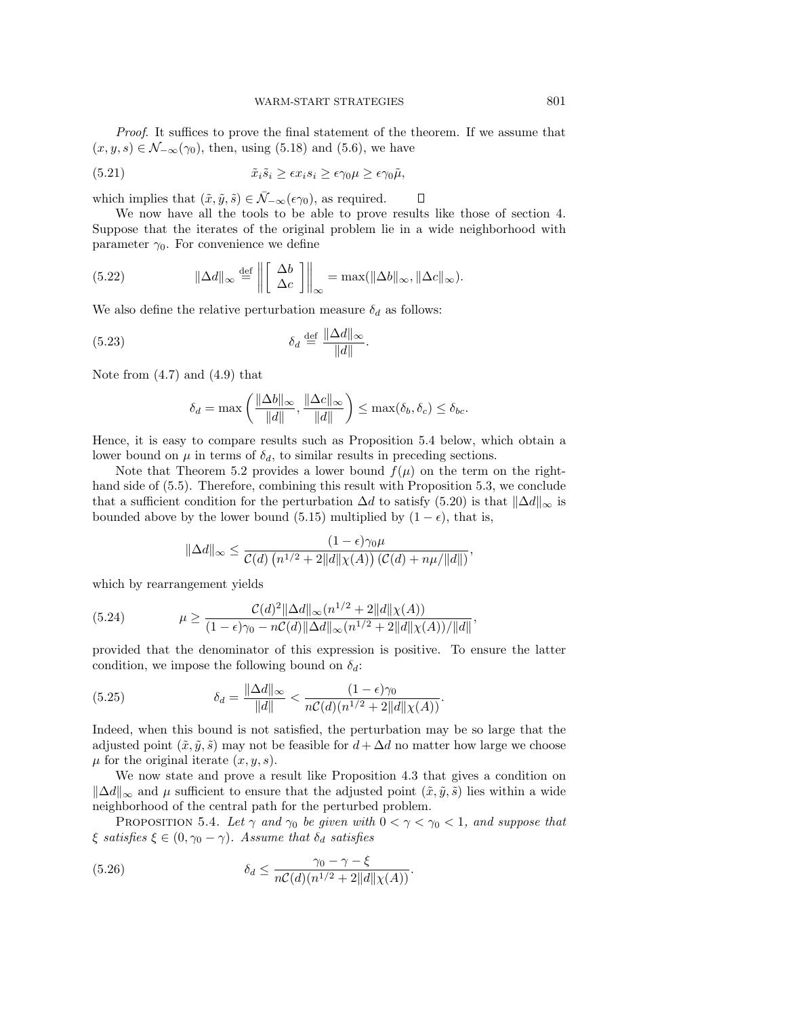Proof. It suffices to prove the final statement of the theorem. If we assume that  $(x, y, s) \in \mathcal{N}_{-\infty}(\gamma_0)$ , then, using (5.18) and (5.6), we have

(5.21) 
$$
\tilde{x}_i \tilde{s}_i \geq \epsilon x_i s_i \geq \epsilon \gamma_0 \mu \geq \epsilon \gamma_0 \tilde{\mu},
$$

which implies that  $(\tilde{x}, \tilde{y}, \tilde{s}) \in \overline{\mathcal{N}}_{-\infty}(\epsilon \gamma_0)$ , as required.

We now have all the tools to be able to prove results like those of section 4. Suppose that the iterates of the original problem lie in a wide neighborhood with parameter  $\gamma_0$ . For convenience we define

 $\Box$ 

(5.22) 
$$
\|\Delta d\|_{\infty} \stackrel{\text{def}}{=} \left\| \left[ \begin{array}{c} \Delta b \\ \Delta c \end{array} \right] \right\|_{\infty} = \max(\|\Delta b\|_{\infty}, \|\Delta c\|_{\infty}).
$$

We also define the relative perturbation measure  $\delta_d$  as follows:

$$
\delta_d \stackrel{\text{def}}{=} \frac{\|\Delta d\|_{\infty}}{\|d\|}.
$$

Note from  $(4.7)$  and  $(4.9)$  that

$$
\delta_d = \max\left(\frac{\|\Delta b\|_{\infty}}{\|d\|}, \frac{\|\Delta c\|_{\infty}}{\|d\|}\right) \le \max(\delta_b, \delta_c) \le \delta_{bc}.
$$

Hence, it is easy to compare results such as Proposition 5.4 below, which obtain a lower bound on  $\mu$  in terms of  $\delta_d$ , to similar results in preceding sections.

Note that Theorem 5.2 provides a lower bound  $f(\mu)$  on the term on the righthand side of  $(5.5)$ . Therefore, combining this result with Proposition 5.3, we conclude that a sufficient condition for the perturbation  $\Delta d$  to satisfy (5.20) is that  $\|\Delta d\|_{\infty}$  is bounded above by the lower bound (5.15) multiplied by  $(1 - \epsilon)$ , that is,

$$
\|\Delta d\|_{\infty} \le \frac{(1-\epsilon)\gamma_0\mu}{\mathcal{C}(d) \left(n^{1/2} + 2\|d\|\chi(A)\right) \left(\mathcal{C}(d) + n\mu/\|d\|\right)}
$$

,

which by rearrangement yields

(5.24) 
$$
\mu \ge \frac{C(d)^2 \|\Delta d\|_{\infty} (n^{1/2} + 2||d||\chi(A))}{(1 - \epsilon)\gamma_0 - nC(d)||\Delta d||_{\infty} (n^{1/2} + 2||d||\chi(A))/||d||},
$$

provided that the denominator of this expression is positive. To ensure the latter condition, we impose the following bound on  $\delta_d$ :

(5.25) 
$$
\delta_d = \frac{\|\Delta d\|_{\infty}}{\|d\|} < \frac{(1-\epsilon)\gamma_0}{n\mathcal{C}(d)(n^{1/2}+2\|d\|\chi(A))}.
$$

Indeed, when this bound is not satisfied, the perturbation may be so large that the adjusted point  $(\tilde{x}, \tilde{y}, \tilde{s})$  may not be feasible for  $d + \Delta d$  no matter how large we choose  $\mu$  for the original iterate  $(x, y, s)$ .

We now state and prove a result like Proposition 4.3 that gives a condition on  $\|\Delta d\|_{\infty}$  and  $\mu$  sufficient to ensure that the adjusted point  $(\tilde{x}, \tilde{y}, \tilde{s})$  lies within a wide neighborhood of the central path for the perturbed problem.

PROPOSITION 5.4. Let  $\gamma$  and  $\gamma_0$  be given with  $0 < \gamma < \gamma_0 < 1$ , and suppose that  $\xi$  satisfies  $\xi \in (0, \gamma_0 - \gamma)$ . Assume that  $\delta_d$  satisfies

(5.26) 
$$
\delta_d \leq \frac{\gamma_0 - \gamma - \xi}{nC(d)(n^{1/2} + 2||d||\chi(A))}.
$$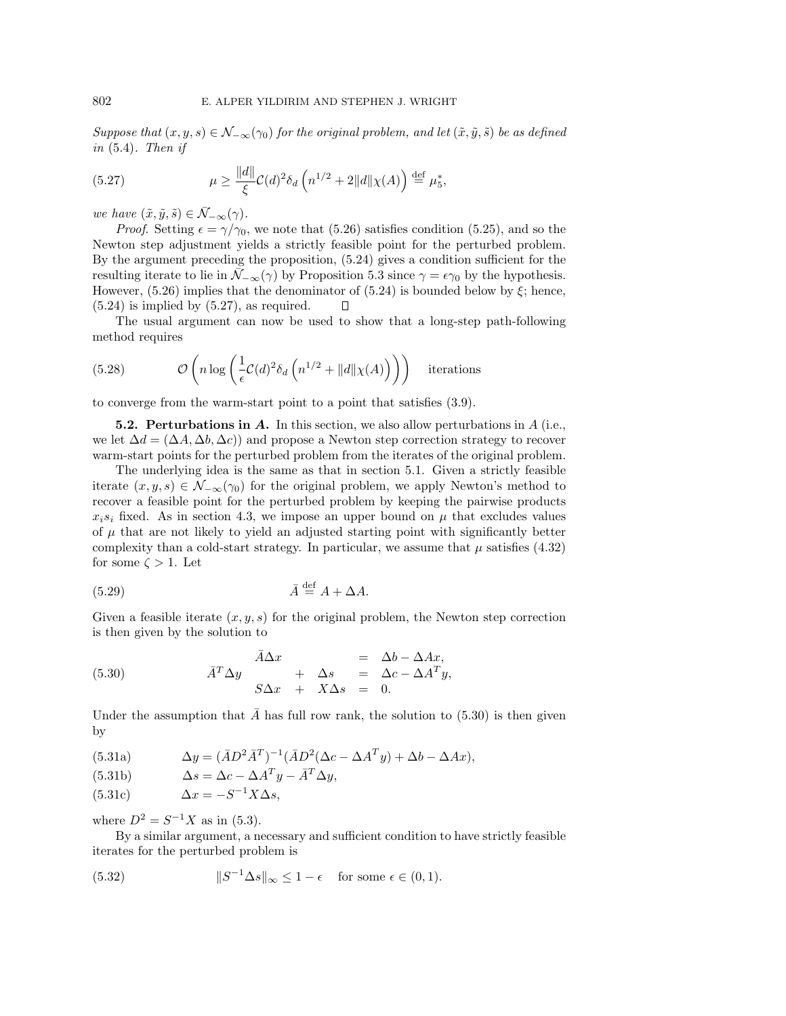Suppose that  $(x, y, s) \in \mathcal{N}_{-\infty}(\gamma_0)$  for the original problem, and let  $(\tilde{x}, \tilde{y}, \tilde{s})$  be as defined in  $(5.4)$ . Then if

(5.27) 
$$
\mu \ge \frac{\|d\|}{\xi} C(d)^2 \delta_d \left( n^{1/2} + 2\|d\|\chi(A) \right) \stackrel{\text{def}}{=} \mu_5^*,
$$

we have  $(\tilde{x}, \tilde{y}, \tilde{s}) \in \bar{\mathcal{N}}_{-\infty}(\gamma)$ .

*Proof.* Setting  $\epsilon = \gamma/\gamma_0$ , we note that (5.26) satisfies condition (5.25), and so the Newton step adjustment yields a strictly feasible point for the perturbed problem. By the argument preceding the proposition, (5.24) gives a condition sufficient for the resulting iterate to lie in  $\bar{\mathcal{N}}_{-\infty}(\gamma)$  by Proposition 5.3 since  $\gamma = \epsilon \gamma_0$  by the hypothesis. However,  $(5.26)$  implies that the denominator of  $(5.24)$  is bounded below by  $\xi$ ; hence,  $(5.24)$  is implied by  $(5.27)$ , as required.  $\Box$ 

The usual argument can now be used to show that a long-step path-following method requires

(5.28) 
$$
\mathcal{O}\left(n \log \left(\frac{1}{\epsilon} \mathcal{C}(d)^2 \delta_d \left(n^{1/2} + ||d|| \chi(A)\right)\right)\right) \text{ iterations}
$$

to converge from the warm-start point to a point that satisfies (3.9).

**5.2. Perturbations in** *A***.** In this section, we also allow perturbations in A (i.e., we let  $\Delta d = (\Delta A, \Delta b, \Delta c)$  and propose a Newton step correction strategy to recover warm-start points for the perturbed problem from the iterates of the original problem.

The underlying idea is the same as that in section 5.1. Given a strictly feasible iterate  $(x, y, s) \in \mathcal{N}_{-\infty}(\gamma_0)$  for the original problem, we apply Newton's method to recover a feasible point for the perturbed problem by keeping the pairwise products  $x_i s_i$  fixed. As in section 4.3, we impose an upper bound on  $\mu$  that excludes values of  $\mu$  that are not likely to yield an adjusted starting point with significantly better complexity than a cold-start strategy. In particular, we assume that  $\mu$  satisfies (4.32) for some  $\zeta > 1$ . Let

$$
\bar{A} \stackrel{\text{def}}{=} A + \Delta A.
$$

Given a feasible iterate  $(x, y, s)$  for the original problem, the Newton step correction is then given by the solution to

(5.30) 
$$
\bar{A}^T \Delta y = \Delta b - \Delta Ax, \n\bar{A}^T \Delta y + \Delta s = \Delta c - \Delta A^T y, \nS \Delta x + X \Delta s = 0.
$$

Under the assumption that  $\tilde{A}$  has full row rank, the solution to (5.30) is then given by

(5.31a) 
$$
\Delta y = (\bar{A}D^2\bar{A}^T)^{-1}(\bar{A}D^2(\Delta c - \Delta A^T y) + \Delta b - \Delta Ax),
$$

(5.31b) 
$$
\Delta s = \Delta c - \Delta A^T y - \bar{A}^T \Delta y,
$$

$$
(5.31c) \t\t \Delta x = -S^{-1}X\Delta s,
$$

where  $D^2 = S^{-1}X$  as in (5.3).

By a similar argument, a necessary and sufficient condition to have strictly feasible iterates for the perturbed problem is

(5.32) 
$$
||S^{-1}\Delta s||_{\infty} \leq 1 - \epsilon \quad \text{for some } \epsilon \in (0,1).
$$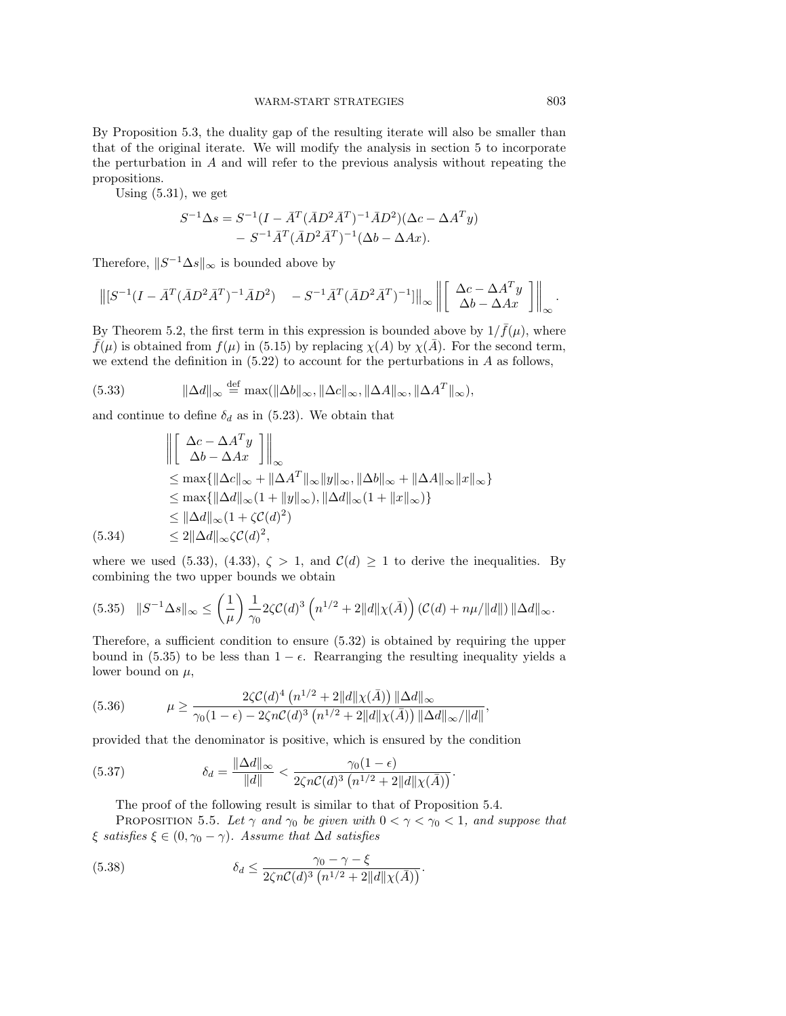By Proposition 5.3, the duality gap of the resulting iterate will also be smaller than that of the original iterate. We will modify the analysis in section 5 to incorporate the perturbation in  $A$  and will refer to the previous analysis without repeating the propositions.

Using (5.31), we get

$$
S^{-1}\Delta s = S^{-1}(I - \bar{A}^T(\bar{A}D^2\bar{A}^T)^{-1}\bar{A}D^2)(\Delta c - \Delta A^T y) - S^{-1}\bar{A}^T(\bar{A}D^2\bar{A}^T)^{-1}(\Delta b - \Delta Ax).
$$

Therefore,  $||S^{-1}\Delta s||_{\infty}$  is bounded above by

$$
\left\| \left[ S^{-1} (I - \bar{A}^T (\bar{A} D^2 \bar{A}^T)^{-1} \bar{A} D^2) - S^{-1} \bar{A}^T (\bar{A} D^2 \bar{A}^T)^{-1} \right] \right\|_{\infty} \left\| \left[ \begin{array}{c} \Delta c - \Delta A^T y \\ \Delta b - \Delta A x \end{array} \right] \right\|_{\infty}.
$$

By Theorem 5.2, the first term in this expression is bounded above by  $1/\bar{f}(\mu)$ , where  $\bar{f}(\mu)$  is obtained from  $f(\mu)$  in (5.15) by replacing  $\chi(A)$  by  $\chi(\bar{A})$ . For the second term, we extend the definition in  $(5.22)$  to account for the perturbations in A as follows,

(5.33) 
$$
\|\Delta d\|_{\infty} \stackrel{\text{def}}{=} \max(\|\Delta b\|_{\infty}, \|\Delta c\|_{\infty}, \|\Delta A\|_{\infty}, \|\Delta A^T\|_{\infty}),
$$

and continue to define  $\delta_d$  as in (5.23). We obtain that

$$
\begin{aligned}\n\left\| \begin{bmatrix}\n\Delta c - \Delta A^T y \\
\Delta b - \Delta Ax\n\end{bmatrix} \right\|_{\infty} \\
\leq \max \{ \|\Delta c\|_{\infty} + \|\Delta A^T\|_{\infty} \|y\|_{\infty}, \|\Delta b\|_{\infty} + \|\Delta A\|_{\infty} \|x\|_{\infty} \} \\
\leq \max \{ \|\Delta d\|_{\infty} (1 + \|y\|_{\infty}), \|\Delta d\|_{\infty} (1 + \|x\|_{\infty}) \} \\
\leq \|\Delta d\|_{\infty} (1 + \zeta C(d)^2)\n\end{aligned}
$$
\n(5.34)

where we used (5.33), (4.33),  $\zeta > 1$ , and  $\mathcal{C}(d) \geq 1$  to derive the inequalities. By combining the two upper bounds we obtain

$$
(5.35) \quad ||S^{-1}\Delta s||_{\infty} \le \left(\frac{1}{\mu}\right) \frac{1}{\gamma_0} 2\zeta \mathcal{C}(d)^3 \left(n^{1/2} + 2||d||\chi(\bar{A})\right) \left(\mathcal{C}(d) + n\mu/||d||\right) ||\Delta d||_{\infty}.
$$

Therefore, a sufficient condition to ensure (5.32) is obtained by requiring the upper bound in (5.35) to be less than  $1 - \epsilon$ . Rearranging the resulting inequality yields a lower bound on  $\mu$ ,

(5.36) 
$$
\mu \ge \frac{2\zeta C(d)^4 \left(n^{1/2} + 2\|d\|\chi(\bar{A})\right) \|\Delta d\|_{\infty}}{\gamma_0 (1 - \epsilon) - 2\zeta n C(d)^3 \left(n^{1/2} + 2\|d\|\chi(\bar{A})\right) \|\Delta d\|_{\infty}/\|d\|},
$$

provided that the denominator is positive, which is ensured by the condition

(5.37) 
$$
\delta_d = \frac{\|\Delta d\|_{\infty}}{\|d\|} < \frac{\gamma_0 (1 - \epsilon)}{2\zeta n C(d)^3 \left(n^{1/2} + 2\|d\|\chi(\bar{A})\right)}.
$$

The proof of the following result is similar to that of Proposition 5.4.

PROPOSITION 5.5. Let  $\gamma$  and  $\gamma_0$  be given with  $0 < \gamma < \gamma_0 < 1$ , and suppose that  $\xi$  satisfies  $\xi \in (0, \gamma_0 - \gamma)$ . Assume that  $\Delta d$  satisfies

(5.38) 
$$
\delta_d \leq \frac{\gamma_0 - \gamma - \xi}{2\zeta n C(d)^3 (n^{1/2} + 2||d||\chi(\bar{A}))}.
$$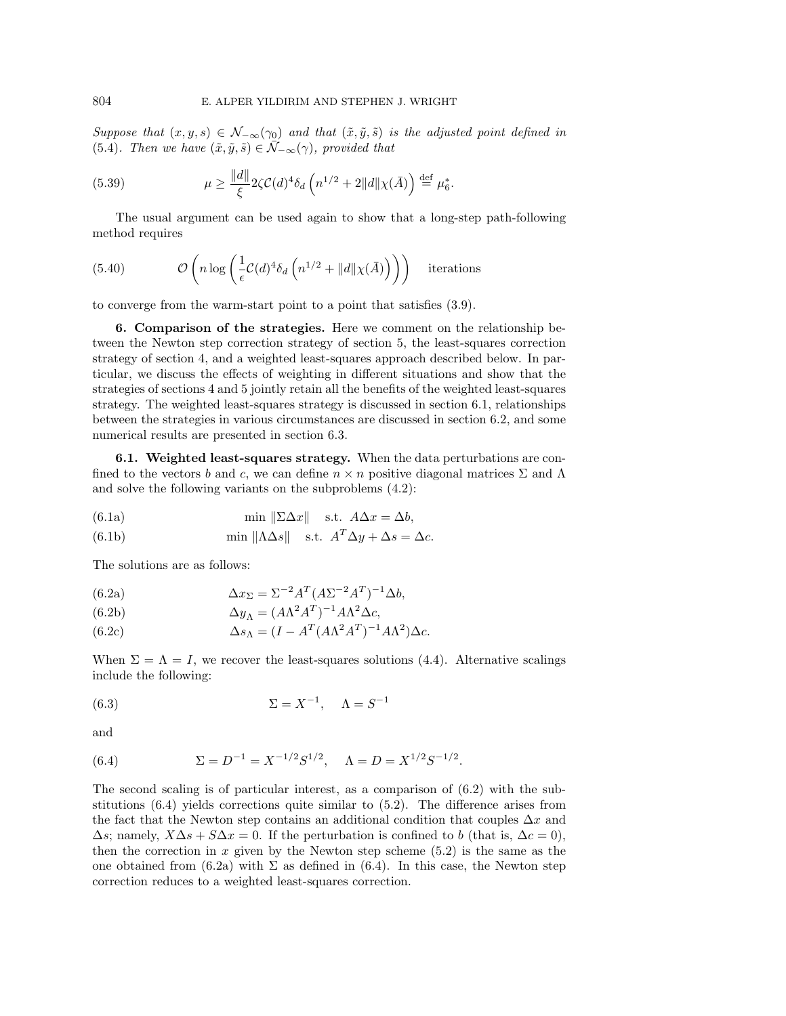Suppose that  $(x, y, s) \in \mathcal{N}_{-\infty}(\gamma_0)$  and that  $(\tilde{x}, \tilde{y}, \tilde{s})$  is the adjusted point defined in (5.4). Then we have  $(\tilde{x}, \tilde{y}, \tilde{s}) \in \tilde{\mathcal{N}}_{-\infty}(\gamma)$ , provided that

(5.39) 
$$
\mu \ge \frac{\|d\|}{\xi} 2\zeta C(d)^4 \delta_d \left( n^{1/2} + 2\|d\|\chi(\bar{A}) \right) \stackrel{\text{def}}{=} \mu_{6}^*.
$$

The usual argument can be used again to show that a long-step path-following method requires

(5.40) 
$$
\mathcal{O}\left(n\log\left(\frac{1}{\epsilon}\mathcal{C}(d)^4\delta_d\left(n^{1/2} + \|d\|\chi(\bar{A})\right)\right)\right) \text{ iterations}
$$

to converge from the warm-start point to a point that satisfies (3.9).

**6. Comparison of the strategies.** Here we comment on the relationship between the Newton step correction strategy of section 5, the least-squares correction strategy of section 4, and a weighted least-squares approach described below. In particular, we discuss the effects of weighting in different situations and show that the strategies of sections 4 and 5 jointly retain all the benefits of the weighted least-squares strategy. The weighted least-squares strategy is discussed in section 6.1, relationships between the strategies in various circumstances are discussed in section 6.2, and some numerical results are presented in section 6.3.

**6.1. Weighted least-squares strategy.** When the data perturbations are confined to the vectors b and c, we can define  $n \times n$  positive diagonal matrices  $\Sigma$  and  $\Lambda$ and solve the following variants on the subproblems (4.2):

(6.1a) 
$$
\min \| \Sigma \Delta x \| \quad \text{s.t. } A \Delta x = \Delta b,
$$

(6.1b) 
$$
\min \| \Lambda \Delta s \| \quad \text{s.t. } A^T \Delta y + \Delta s = \Delta c.
$$

The solutions are as follows:

(6.2a) 
$$
\Delta x_{\Sigma} = \Sigma^{-2} A^T (A \Sigma^{-2} A^T)^{-1} \Delta b,
$$

(6.2b) 
$$
\Delta y_{\Lambda} = (A\Lambda^2 A^T)^{-1} A\Lambda^2 \Delta c,
$$

(6.2c) 
$$
\Delta s_{\Lambda} = (I - A^T (A \Lambda^2 A^T)^{-1} A \Lambda^2) \Delta c.
$$

When  $\Sigma = \Lambda = I$ , we recover the least-squares solutions (4.4). Alternative scalings include the following:

(6.3) 
$$
\Sigma = X^{-1}, \quad \Lambda = S^{-1}
$$

and

(6.4) 
$$
\Sigma = D^{-1} = X^{-1/2} S^{1/2}, \quad \Lambda = D = X^{1/2} S^{-1/2}.
$$

The second scaling is of particular interest, as a comparison of (6.2) with the substitutions (6.4) yields corrections quite similar to (5.2). The difference arises from the fact that the Newton step contains an additional condition that couples  $\Delta x$  and  $\Delta s$ ; namely,  $X\Delta s + S\Delta x = 0$ . If the perturbation is confined to b (that is,  $\Delta c = 0$ ), then the correction in  $x$  given by the Newton step scheme (5.2) is the same as the one obtained from  $(6.2a)$  with  $\Sigma$  as defined in  $(6.4)$ . In this case, the Newton step correction reduces to a weighted least-squares correction.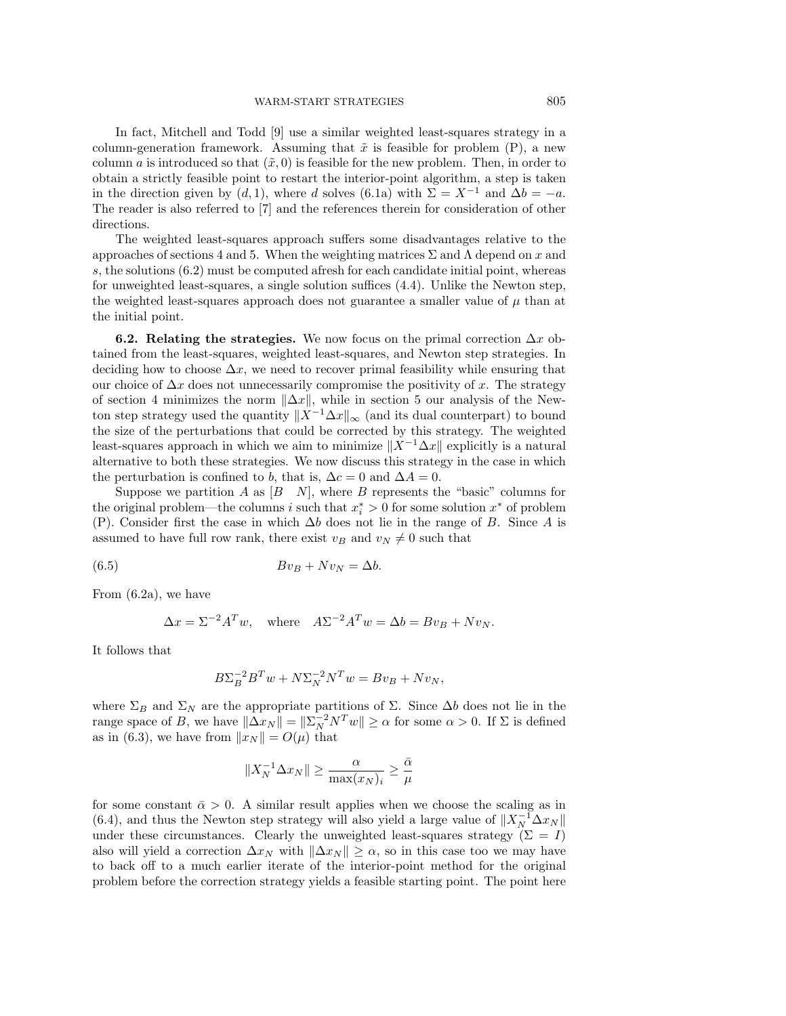In fact, Mitchell and Todd [9] use a similar weighted least-squares strategy in a column-generation framework. Assuming that  $\tilde{x}$  is feasible for problem (P), a new column a is introduced so that  $(\tilde{x}, 0)$  is feasible for the new problem. Then, in order to obtain a strictly feasible point to restart the interior-point algorithm, a step is taken in the direction given by  $(d, 1)$ , where d solves (6.1a) with  $\Sigma = X^{-1}$  and  $\Delta b = -a$ . The reader is also referred to [7] and the references therein for consideration of other directions.

The weighted least-squares approach suffers some disadvantages relative to the approaches of sections 4 and 5. When the weighting matrices  $\Sigma$  and  $\Lambda$  depend on x and s, the solutions (6.2) must be computed afresh for each candidate initial point, whereas for unweighted least-squares, a single solution suffices (4.4). Unlike the Newton step, the weighted least-squares approach does not guarantee a smaller value of  $\mu$  than at the initial point.

**6.2. Relating the strategies.** We now focus on the primal correction  $\Delta x$  obtained from the least-squares, weighted least-squares, and Newton step strategies. In deciding how to choose  $\Delta x$ , we need to recover primal feasibility while ensuring that our choice of  $\Delta x$  does not unnecessarily compromise the positivity of x. The strategy of section 4 minimizes the norm  $\|\Delta x\|$ , while in section 5 our analysis of the Newton step strategy used the quantity  $||\overline{X}^{-1}\Delta x||_{\infty}$  (and its dual counterpart) to bound the size of the perturbations that could be corrected by this strategy. The weighted least-squares approach in which we aim to minimize  $||X^{-1}\Delta x||$  explicitly is a natural alternative to both these strategies. We now discuss this strategy in the case in which the perturbation is confined to b, that is,  $\Delta c = 0$  and  $\Delta A = 0$ .

Suppose we partition A as  $[B \ N]$ , where B represents the "basic" columns for the original problem—the columns i such that  $x_i^* > 0$  for some solution  $x^*$  of problem (P). Consider first the case in which  $\Delta b$  does not lie in the range of B. Since A is assumed to have full row rank, there exist  $v_B$  and  $v_N \neq 0$  such that

$$
(6.5) \t\t Bv_B + Nv_N = \Delta b.
$$

From (6.2a), we have

$$
\Delta x = \Sigma^{-2} A^T w, \quad \text{where} \quad A \Sigma^{-2} A^T w = \Delta b = B v_B + N v_N.
$$

It follows that

$$
B\Sigma_B^{-2}B^Tw + N\Sigma_N^{-2}N^Tw = Bv_B + Nv_N,
$$

where  $\Sigma_B$  and  $\Sigma_N$  are the appropriate partitions of  $\Sigma$ . Since  $\Delta b$  does not lie in the range space of B, we have  $\|\Delta x_N\| = \|\Sigma_N^{-2} N^T w\| \ge \alpha$  for some  $\alpha > 0$ . If  $\Sigma$  is defined as in (6.3), we have from  $||x_N|| = O(\mu)$  that

$$
||X_N^{-1} \Delta x_N|| \ge \frac{\alpha}{\max(x_N)_i} \ge \frac{\bar{\alpha}}{\mu}
$$

for some constant  $\bar{\alpha} > 0$ . A similar result applies when we choose the scaling as in (6.4), and thus the Newton step strategy will also yield a large value of  $||X_N^{-1}\Delta x_N||$ under these circumstances. Clearly the unweighted least-squares strategy ( $\Sigma = I$ ) also will yield a correction  $\Delta x_N$  with  $\|\Delta x_N\| \geq \alpha$ , so in this case too we may have to back off to a much earlier iterate of the interior-point method for the original problem before the correction strategy yields a feasible starting point. The point here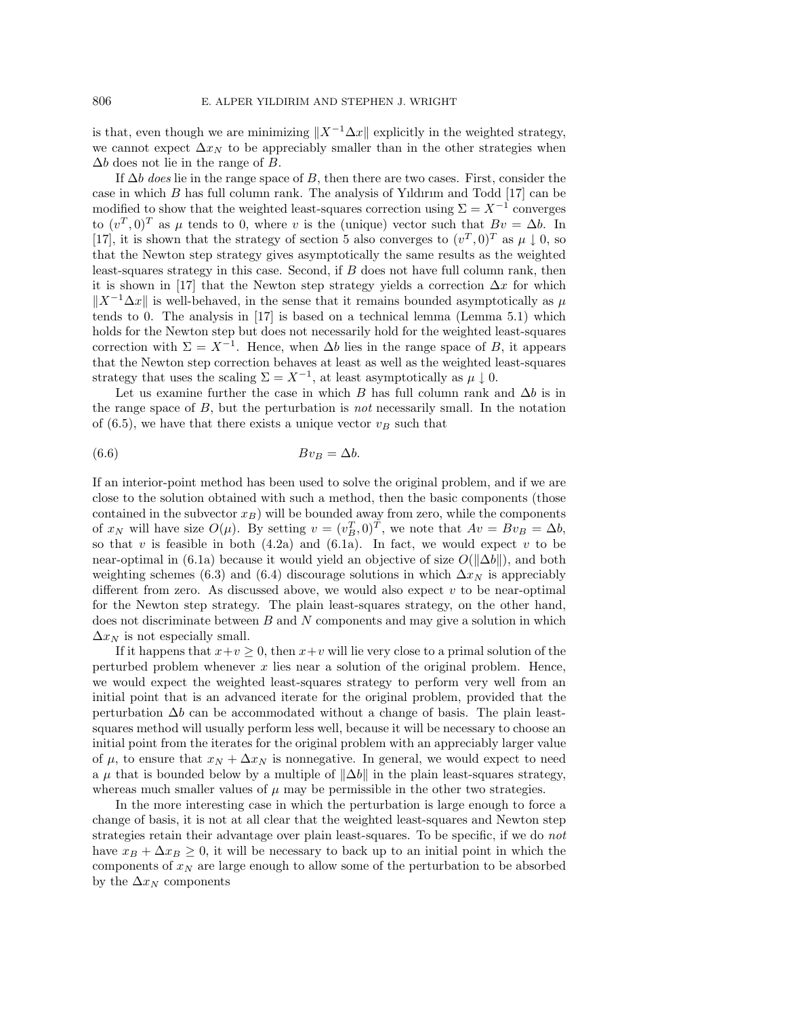is that, even though we are minimizing  $||X^{-1}\Delta x||$  explicitly in the weighted strategy, we cannot expect  $\Delta x_N$  to be appreciably smaller than in the other strategies when  $\Delta b$  does not lie in the range of B.

If  $\Delta b$  does lie in the range space of B, then there are two cases. First, consider the case in which  $B$  has full column rank. The analysis of Yildirum and Todd  $[17]$  can be modified to show that the weighted least-squares correction using  $\Sigma = X^{-1}$  converges to  $(v^T, 0)^T$  as  $\mu$  tends to 0, where v is the (unique) vector such that  $Bv = \Delta b$ . In [17], it is shown that the strategy of section 5 also converges to  $(v^T, 0)^T$  as  $\mu \downarrow 0$ , so that the Newton step strategy gives asymptotically the same results as the weighted least-squares strategy in this case. Second, if B does not have full column rank, then it is shown in [17] that the Newton step strategy yields a correction  $\Delta x$  for which  $||X^{-1}\Delta x||$  is well-behaved, in the sense that it remains bounded asymptotically as  $\mu$ tends to 0. The analysis in [17] is based on a technical lemma (Lemma 5.1) which holds for the Newton step but does not necessarily hold for the weighted least-squares correction with  $\Sigma = X^{-1}$ . Hence, when  $\Delta b$  lies in the range space of B, it appears that the Newton step correction behaves at least as well as the weighted least-squares strategy that uses the scaling  $\Sigma = X^{-1}$ , at least asymptotically as  $\mu \downarrow 0$ .

Let us examine further the case in which B has full column rank and  $\Delta b$  is in the range space of B, but the perturbation is not necessarily small. In the notation of  $(6.5)$ , we have that there exists a unique vector  $v_B$  such that

$$
(6.6) \t Bv_B = \Delta b.
$$

If an interior-point method has been used to solve the original problem, and if we are close to the solution obtained with such a method, then the basic components (those contained in the subvector  $x_B$ ) will be bounded away from zero, while the components of  $x_N$  will have size  $O(\mu)$ . By setting  $v = (v_B^T, 0)^T$ , we note that  $Av = Bv_B = \Delta b$ , so that v is feasible in both  $(4.2a)$  and  $(6.1a)$ . In fact, we would expect v to be near-optimal in (6.1a) because it would yield an objective of size  $O(\Vert \Delta b \Vert)$ , and both weighting schemes (6.3) and (6.4) discourage solutions in which  $\Delta x_N$  is appreciably different from zero. As discussed above, we would also expect  $v$  to be near-optimal for the Newton step strategy. The plain least-squares strategy, on the other hand, does not discriminate between  $B$  and  $N$  components and may give a solution in which  $\Delta x_N$  is not especially small.

If it happens that  $x+v \geq 0$ , then  $x+v$  will lie very close to a primal solution of the perturbed problem whenever  $x$  lies near a solution of the original problem. Hence, we would expect the weighted least-squares strategy to perform very well from an initial point that is an advanced iterate for the original problem, provided that the perturbation  $\Delta b$  can be accommodated without a change of basis. The plain leastsquares method will usually perform less well, because it will be necessary to choose an initial point from the iterates for the original problem with an appreciably larger value of  $\mu$ , to ensure that  $x_N + \Delta x_N$  is nonnegative. In general, we would expect to need a  $\mu$  that is bounded below by a multiple of  $\|\Delta b\|$  in the plain least-squares strategy, whereas much smaller values of  $\mu$  may be permissible in the other two strategies.

In the more interesting case in which the perturbation is large enough to force a change of basis, it is not at all clear that the weighted least-squares and Newton step strategies retain their advantage over plain least-squares. To be specific, if we do not have  $x_B + \Delta x_B \geq 0$ , it will be necessary to back up to an initial point in which the components of  $x_N$  are large enough to allow some of the perturbation to be absorbed by the  $\Delta x_N$  components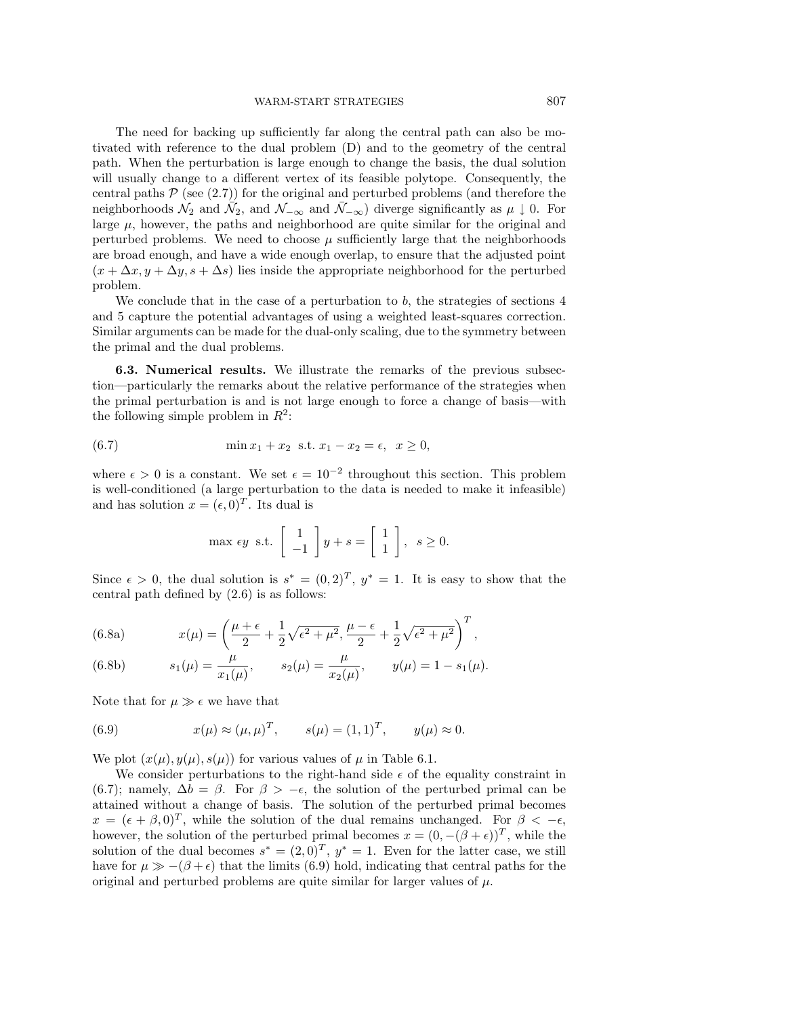The need for backing up sufficiently far along the central path can also be motivated with reference to the dual problem (D) and to the geometry of the central path. When the perturbation is large enough to change the basis, the dual solution will usually change to a different vertex of its feasible polytope. Consequently, the central paths  $P$  (see  $(2.7)$ ) for the original and perturbed problems (and therefore the neighborhoods  $\mathcal{N}_2$  and  $\bar{\mathcal{N}}_{2}$ , and  $\mathcal{N}_{-\infty}$  and  $\bar{\mathcal{N}}_{-\infty}$ ) diverge significantly as  $\mu \downarrow 0$ . For large  $\mu$ , however, the paths and neighborhood are quite similar for the original and perturbed problems. We need to choose  $\mu$  sufficiently large that the neighborhoods are broad enough, and have a wide enough overlap, to ensure that the adjusted point  $(x + \Delta x, y + \Delta y, s + \Delta s)$  lies inside the appropriate neighborhood for the perturbed problem.

We conclude that in the case of a perturbation to  $b$ , the strategies of sections  $4$ and 5 capture the potential advantages of using a weighted least-squares correction. Similar arguments can be made for the dual-only scaling, due to the symmetry between the primal and the dual problems.

**6.3. Numerical results.** We illustrate the remarks of the previous subsection—particularly the remarks about the relative performance of the strategies when the primal perturbation is and is not large enough to force a change of basis—with the following simple problem in  $R^2$ :

(6.7) 
$$
\min x_1 + x_2 \ \text{s.t.} \ x_1 - x_2 = \epsilon, \ \ x \ge 0,
$$

where  $\epsilon > 0$  is a constant. We set  $\epsilon = 10^{-2}$  throughout this section. This problem is well-conditioned (a large perturbation to the data is needed to make it infeasible) and has solution  $x = (\epsilon, 0)^T$ . Its dual is

$$
\max \epsilon y \text{ s.t. } \begin{bmatrix} 1 \\ -1 \end{bmatrix} y + s = \begin{bmatrix} 1 \\ 1 \end{bmatrix}, \ s \ge 0.
$$

Since  $\epsilon > 0$ , the dual solution is  $s^* = (0, 2)^T$ ,  $y^* = 1$ . It is easy to show that the central path defined by (2.6) is as follows:

(6.8a) 
$$
x(\mu) = \left(\frac{\mu+\epsilon}{2} + \frac{1}{2}\sqrt{\epsilon^2 + \mu^2}, \frac{\mu-\epsilon}{2} + \frac{1}{2}\sqrt{\epsilon^2 + \mu^2}\right)^T,
$$

(6.8b) 
$$
s_1(\mu) = \frac{\mu}{x_1(\mu)}, \qquad s_2(\mu) = \frac{\mu}{x_2(\mu)}, \qquad y(\mu) = 1 - s_1(\mu).
$$

Note that for  $\mu \gg \epsilon$  we have that

(6.9) 
$$
x(\mu) \approx (\mu, \mu)^T, \qquad s(\mu) = (1, 1)^T, \qquad y(\mu) \approx 0.
$$

We plot  $(x(\mu), y(\mu), s(\mu))$  for various values of  $\mu$  in Table 6.1.

We consider perturbations to the right-hand side  $\epsilon$  of the equality constraint in (6.7); namely,  $\Delta b = \beta$ . For  $\beta > -\epsilon$ , the solution of the perturbed primal can be attained without a change of basis. The solution of the perturbed primal becomes  $x = (\epsilon + \beta, 0)^T$ , while the solution of the dual remains unchanged. For  $\beta < -\epsilon$ , however, the solution of the perturbed primal becomes  $x = (0, -(\beta + \epsilon))^T$ , while the solution of the dual becomes  $s^* = (2,0)^T$ ,  $y^* = 1$ . Even for the latter case, we still have for  $\mu \gg -(\beta + \epsilon)$  that the limits (6.9) hold, indicating that central paths for the original and perturbed problems are quite similar for larger values of  $\mu$ .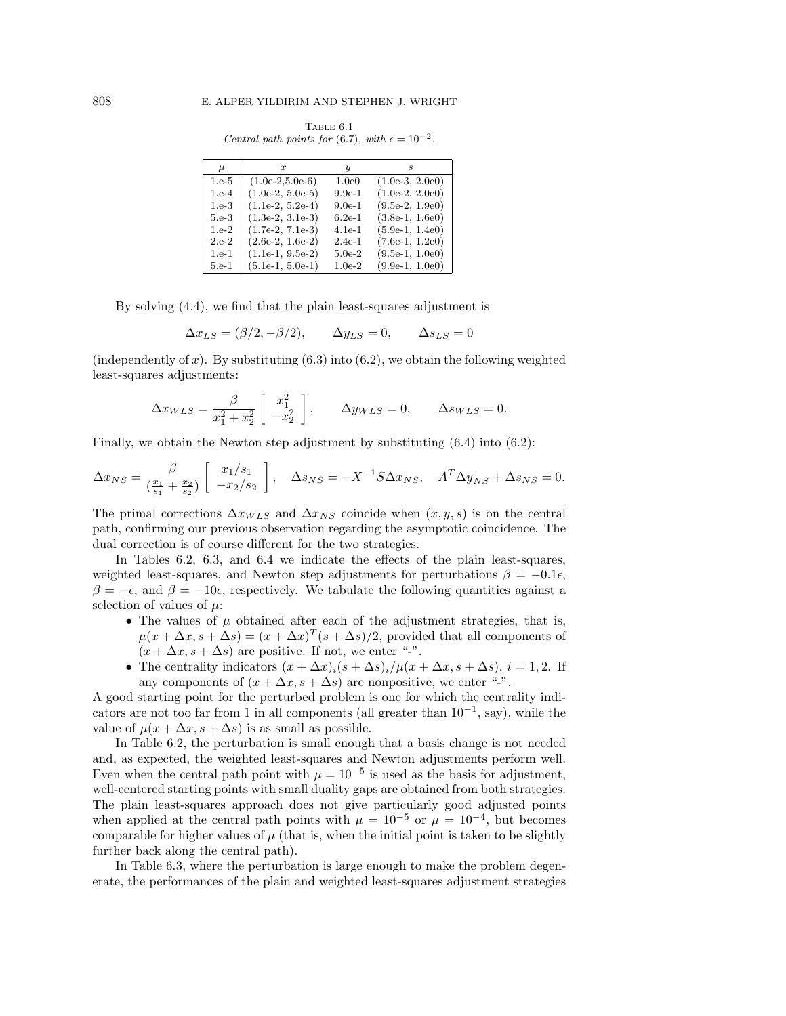Table 6.1 Central path points for (6.7), with  $\epsilon = 10^{-2}$ .

| $\mu$   | $\boldsymbol{x}$   | y.       |                   |
|---------|--------------------|----------|-------------------|
| $1.e-5$ | $(1.0e-2,5.0e-6)$  | 1.0e0    | $(1.0e-3, 2.0e0)$ |
| $1.e-4$ | $(1.0e-2, 5.0e-5)$ | $9.9e-1$ | $(1.0e-2, 2.0e0)$ |
| $1.e-3$ | $(1.1e-2, 5.2e-4)$ | $9.0e-1$ | $(9.5e-2, 1.9e0)$ |
| 5.e-3   | $(1.3e-2, 3.1e-3)$ | $6.2e-1$ | $(3.8e-1, 1.6e0)$ |
| $1.e-2$ | $(1.7e-2, 7.1e-3)$ | $4.1e-1$ | $(5.9e-1, 1.4e0)$ |
| $2.e-2$ | $(2.6e-2, 1.6e-2)$ | $2.4e-1$ | $(7.6e-1, 1.2e0)$ |
| $1.e-1$ | $(1.1e-1, 9.5e-2)$ | $5.0e-2$ | $(9.5e-1, 1.0e0)$ |
| $5.e-1$ | $(5.1e-1, 5.0e-1)$ | $1.0e-2$ | $(9.9e-1, 1.0e0)$ |

By solving (4.4), we find that the plain least-squares adjustment is

$$
\Delta x_{LS} = (\beta/2, -\beta/2), \qquad \Delta y_{LS} = 0, \qquad \Delta s_{LS} = 0
$$

(independently of x). By substituting  $(6.3)$  into  $(6.2)$ , we obtain the following weighted least-squares adjustments:

$$
\Delta x_{WLS} = \frac{\beta}{x_1^2 + x_2^2} \begin{bmatrix} x_1^2 \\ -x_2^2 \end{bmatrix}, \qquad \Delta y_{WLS} = 0, \qquad \Delta s_{WLS} = 0.
$$

Finally, we obtain the Newton step adjustment by substituting (6.4) into (6.2):

$$
\Delta x_{NS} = \frac{\beta}{\left(\frac{x_1}{s_1} + \frac{x_2}{s_2}\right)} \left[\begin{array}{c} x_1/s_1\\ -x_2/s_2 \end{array}\right], \quad \Delta s_{NS} = -X^{-1}S\Delta x_{NS}, \quad A^T \Delta y_{NS} + \Delta s_{NS} = 0.
$$

The primal corrections  $\Delta x_{WLS}$  and  $\Delta x_{NS}$  coincide when  $(x, y, s)$  is on the central path, confirming our previous observation regarding the asymptotic coincidence. The dual correction is of course different for the two strategies.

In Tables 6.2, 6.3, and 6.4 we indicate the effects of the plain least-squares, weighted least-squares, and Newton step adjustments for perturbations  $\beta = -0.1\epsilon$ ,  $\beta = -\epsilon$ , and  $\beta = -10\epsilon$ , respectively. We tabulate the following quantities against a selection of values of  $\mu$ :

- The values of  $\mu$  obtained after each of the adjustment strategies, that is,  $\mu(x + \Delta x, s + \Delta s) = (x + \Delta x)^T (s + \Delta s)/2$ , provided that all components of  $(x + \Delta x, s + \Delta s)$  are positive. If not, we enter "-".
- The centrality indicators  $(x + \Delta x)(s + \Delta s)/\mu(x + \Delta x, s + \Delta s), i = 1, 2$ . If any components of  $(x + \Delta x, s + \Delta s)$  are nonpositive, we enter "-".

A good starting point for the perturbed problem is one for which the centrality indicators are not too far from 1 in all components (all greater than  $10^{-1}$ , say), while the value of  $\mu(x + \Delta x, s + \Delta s)$  is as small as possible.

In Table 6.2, the perturbation is small enough that a basis change is not needed and, as expected, the weighted least-squares and Newton adjustments perform well. Even when the central path point with  $\mu = 10^{-5}$  is used as the basis for adjustment, well-centered starting points with small duality gaps are obtained from both strategies. The plain least-squares approach does not give particularly good adjusted points when applied at the central path points with  $\mu = 10^{-5}$  or  $\mu = 10^{-4}$ , but becomes comparable for higher values of  $\mu$  (that is, when the initial point is taken to be slightly further back along the central path).

In Table 6.3, where the perturbation is large enough to make the problem degenerate, the performances of the plain and weighted least-squares adjustment strategies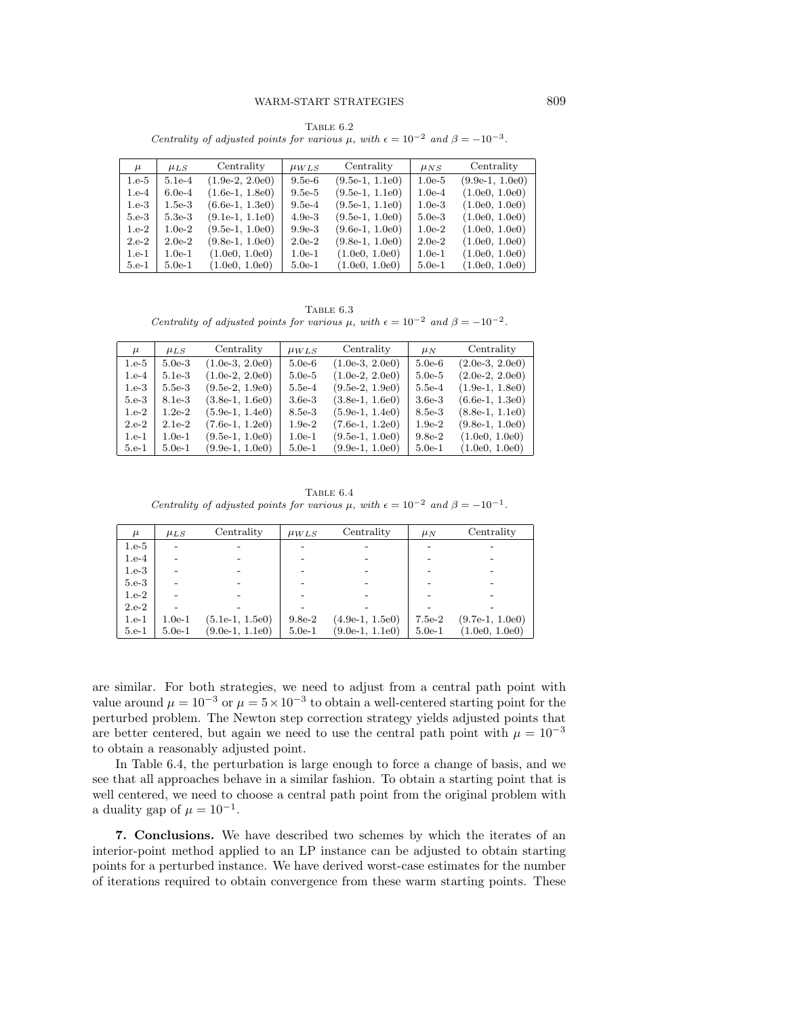TABLE  $6.2$ Centrality of adjusted points for various  $\mu$ , with  $\epsilon = 10^{-2}$  and  $\beta = -10^{-3}$ .

| $\mu$   | $\mu_{LS}$ | Centrality        | $\mu_{WLS}$ | Centrality        | $\mu_{NS}$ | Centrality        |
|---------|------------|-------------------|-------------|-------------------|------------|-------------------|
| $1.e-5$ | $5.1e-4$   | $(1.9e-2, 2.0e0)$ | $9.5e-6$    | $(9.5e-1, 1.1e0)$ | $1.0e-5$   | $(9.9e-1, 1.0e0)$ |
| $1.e-4$ | $6.0e-4$   | $(1.6e-1, 1.8e0)$ | $9.5e-5$    | $(9.5e-1, 1.1e0)$ | $1.0e-4$   | (1.0e0, 1.0e0)    |
| $1.e-3$ | $1.5e-3$   | $(6.6e-1, 1.3e0)$ | $9.5e-4$    | $(9.5e-1, 1.1e0)$ | $1.0e-3$   | (1.0e0, 1.0e0)    |
| $5.e-3$ | $5.3e-3$   | $(9.1e-1, 1.1e0)$ | $4.9e-3$    | $(9.5e-1, 1.0e0)$ | $5.0e-3$   | (1.0e0, 1.0e0)    |
| $1.e-2$ | $1.0e-2$   | $(9.5e-1, 1.0e0)$ | $9.9e-3$    | $(9.6e-1, 1.0e0)$ | $1.0e-2$   | (1.0e0, 1.0e0)    |
| $2.e-2$ | $2.0e-2$   | $(9.8e-1, 1.0e0)$ | $2.0e-2$    | $(9.8e-1, 1.0e0)$ | $2.0e-2$   | (1.0e0, 1.0e0)    |
| $1.e-1$ | $1.0e-1$   | (1.0e0, 1.0e0)    | $1.0e-1$    | (1.0e0, 1.0e0)    | $1.0e-1$   | (1.0e0, 1.0e0)    |
| $5.e-1$ | $5.0e-1$   | (1.0e0, 1.0e0)    | $5.0e-1$    | (1.0e0, 1.0e0)    | $5.0e-1$   | (1.0e0, 1.0e0)    |

TABLE  $6.3$ Centrality of adjusted points for various  $\mu$ , with  $\epsilon = 10^{-2}$  and  $\beta = -10^{-2}$ .

| $\mu$   | $\mu_{LS}$ | Centrality        | $\mu_{WLS}$ | Centrality        | $\mu_N$  | Centrality        |
|---------|------------|-------------------|-------------|-------------------|----------|-------------------|
| $1.e-5$ | $5.0e-3$   | $(1.0e-3, 2.0e0)$ | $5.0e-6$    | $(1.0e-3, 2.0e0)$ | $5.0e-6$ | $(2.0e-3, 2.0e0)$ |
| $1.e-4$ | $5.1e-3$   | $(1.0e-2, 2.0e0)$ | $5.0e-5$    | $(1.0e-2, 2.0e0)$ | $5.0e-5$ | $(2.0e-2, 2.0e0)$ |
| $1.e-3$ | $5.5e-3$   | $(9.5e-2, 1.9e0)$ | $5.5e-4$    | $(9.5e-2, 1.9e0)$ | $5.5e-4$ | $(1.9e-1, 1.8e0)$ |
| $5.e-3$ | $8.1e-3$   | $(3.8e-1, 1.6e0)$ | $3.6e-3$    | $(3.8e-1, 1.6e0)$ | $3.6e-3$ | $(6.6e-1, 1.3e0)$ |
| $1.e-2$ | $1.2e-2$   | $(5.9e-1, 1.4e0)$ | 8.5e-3      | $(5.9e-1, 1.4e0)$ | $8.5e-3$ | $(8.8e-1, 1.1e0)$ |
| $2.e-2$ | $2.1e-2$   | $(7.6e-1, 1.2e0)$ | $1.9e-2$    | $(7.6e-1, 1.2e0)$ | $1.9e-2$ | $(9.8e-1, 1.0e0)$ |
| $1.e-1$ | $1.0e-1$   | $(9.5e-1, 1.0e0)$ | $1.0e-1$    | $(9.5e-1, 1.0e0)$ | $9.8e-2$ | (1.0e0, 1.0e0)    |
| $5.e-1$ | $5.0e-1$   | $(9.9e-1, 1.0e0)$ | $5.0e-1$    | $(9.9e-1, 1.0e0)$ | $5.0e-1$ | (1.0e0, 1.0e0)    |

TABLE  $6.4$ Centrality of adjusted points for various  $\mu$ , with  $\epsilon = 10^{-2}$  and  $\beta = -10^{-1}$ .

| $\mu$   | $\mu_{LS}$ | Centrality        | $\mu_{WLS}$ | Centrality        | $\mu_N$  | Centrality        |
|---------|------------|-------------------|-------------|-------------------|----------|-------------------|
| $1.e-5$ |            |                   |             |                   |          |                   |
| $1.e-4$ |            |                   |             |                   |          |                   |
| $1.e-3$ |            |                   |             |                   |          |                   |
| $5.e-3$ |            |                   |             |                   |          |                   |
| $1.e-2$ |            |                   |             |                   |          |                   |
| $2.e-2$ |            |                   |             |                   |          |                   |
| $1.e-1$ | $1.0e-1$   | $(5.1e-1, 1.5e0)$ | $9.8e-2$    | $(4.9e-1, 1.5e0)$ | $7.5e-2$ | $(9.7e-1, 1.0e0)$ |
| $5.e-1$ | $5.0e-1$   | $(9.0e-1, 1.1e0)$ | $5.0e-1$    | $(9.0e-1, 1.1e0)$ | $5.0e-1$ | (1.0e0, 1.0e0)    |

are similar. For both strategies, we need to adjust from a central path point with value around  $\mu = 10^{-3}$  or  $\mu = 5 \times 10^{-3}$  to obtain a well-centered starting point for the perturbed problem. The Newton step correction strategy yields adjusted points that are better centered, but again we need to use the central path point with  $\mu = 10^{-3}$ to obtain a reasonably adjusted point.

In Table 6.4, the perturbation is large enough to force a change of basis, and we see that all approaches behave in a similar fashion. To obtain a starting point that is well centered, we need to choose a central path point from the original problem with a duality gap of  $\mu = 10^{-1}$ .

**7. Conclusions.** We have described two schemes by which the iterates of an interior-point method applied to an LP instance can be adjusted to obtain starting points for a perturbed instance. We have derived worst-case estimates for the number of iterations required to obtain convergence from these warm starting points. These